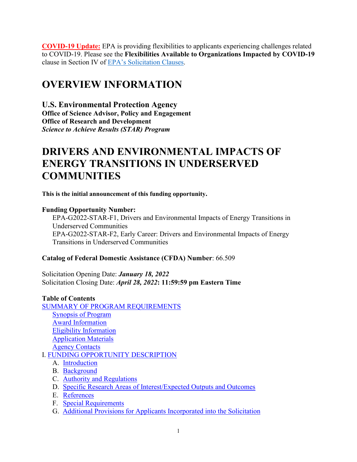**COVID-19 Update:** EPA is providing flexibilities to applicants experiencing challenges related to COVID-19. Please see the **Flexibilities Available to Organizations Impacted by COVID-19**  clause in Section IV of [EPA's Solicitation Clauses.](https://www.epa.gov/grants/epa-solicitation-clauses)

# **OVERVIEW INFORMATION**

**U.S. Environmental Protection Agency Office of Science Advisor, Policy and Engagement Office of Research and Development** *Science to Achieve Results (STAR) Program* 

# **DRIVERS AND ENVIRONMENTAL IMPACTS OF ENERGY TRANSITIONS IN UNDERSERVED COMMUNITIES**

**This is the initial announcement of this funding opportunity.**

# **Funding Opportunity Number:**

EPA-G2022-STAR-F1, Drivers and Environmental Impacts of Energy Transitions in Underserved Communities EPA-G2022-STAR-F2, Early Career: Drivers and Environmental Impacts of Energy Transitions in Underserved Communities

# **Catalog of Federal Domestic Assistance (CFDA) Number**: 66.509

Solicitation Opening Date: *January 18, 2022* Solicitation Closing Date: *April 28, 2022***: 11:59:59 pm Eastern Time**

# **Table of Contents**

| <b>SUMMARY OF PROGRAM REQUIREMENTS</b>                                     |
|----------------------------------------------------------------------------|
| <b>Synopsis of Program</b>                                                 |
| <b>Award Information</b>                                                   |
| <b>Eligibility Information</b>                                             |
| <b>Application Materials</b>                                               |
| <b>Agency Contacts</b>                                                     |
| <b>I. FUNDING OPPORTUNITY DESCRIPTION</b>                                  |
| A. Introduction                                                            |
| <b>B.</b> Background                                                       |
| C. Authority and Regulations                                               |
| Specific Research Areas of Interest/Expected Outputs and Outcomes<br>D.    |
| E. References                                                              |
| <b>Special Requirements</b><br>F.                                          |
| G. Additional Provisions for Applicants Incorporated into the Solicitation |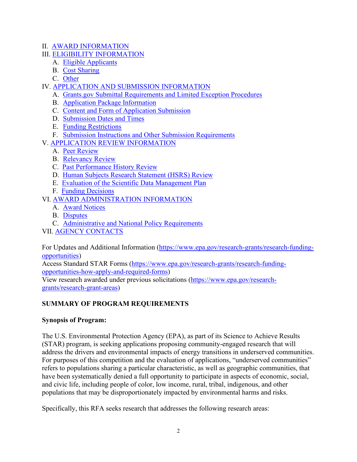- II. [AWARD INFORMATION](#page-21-1)
- III. [ELIGIBILITY INFORMATION](#page-22-0)
	- A. [Eligible Applicants](#page-22-1)
	- B. [Cost Sharing](#page-24-0)
	- C. [Other](#page-24-1)
- IV. [APPLICATION AND SUBMISSION INFORMATION](#page-25-0)
	- A. [Grants.gov Submittal Requirements and Limited Exception Procedures](#page-25-1)
	- B. [Application Package Information](#page-25-2)
	- C. [Content and Form of Application Submission](#page-25-3)
	- D. [Submission Dates and Times](#page-44-0)
	- E. [Funding Restrictions](#page-45-0)
	- F. [Submission Instructions and Other Submission Requirements](#page-46-0)
- V. [APPLICATION REVIEW INFORMATION](#page-49-0)
	- A. [Peer Review](#page-49-1)
	- B. [Relevancy](#page-53-0) Review
	- C. [Past Performance History Review](#page-54-0)
	- D. [Human Subjects Research Statement \(HSRS\) Review](#page-56-0)
	- E. [Evaluation of the Scientific Data Management Plan](#page-56-1)
	- F. [Funding Decisions](#page-56-2)
- VI. [AWARD ADMINISTRATION INFORMATION](#page-57-0)
	- A. [Award Notices](#page-57-1)
	- B. [Disputes](#page-57-2)
	- C. [Administrative and National Policy Requirements](#page-57-3)
- VII. [AGENCY CONTACTS](#page-59-0)

For Updates and Additional Information [\(https://www.epa.gov/research-grants/research-funding](https://www.epa.gov/research-grants/research-funding-opportunities)[opportunities\)](https://www.epa.gov/research-grants/research-funding-opportunities)

Access Standard STAR Forms [\(https://www.epa.gov/research-grants/research-funding](https://www.epa.gov/research-grants/research-funding-opportunities-how-apply-and-required-forms)[opportunities-how-apply-and-required-forms\)](https://www.epa.gov/research-grants/research-funding-opportunities-how-apply-and-required-forms)

View research awarded under previous solicitations [\(https://www.epa.gov/research](https://www.epa.gov/research-grants/research-grant-areas)[grants/research-grant-areas\)](https://www.epa.gov/research-grants/research-grant-areas)

# <span id="page-1-0"></span>**SUMMARY OF PROGRAM REQUIREMENTS**

#### <span id="page-1-1"></span>**Synopsis of Program:**

The U.S. Environmental Protection Agency (EPA), as part of its Science to Achieve Results (STAR) program, is seeking applications proposing community-engaged research that will address the drivers and environmental impacts of energy transitions in underserved communities. For purposes of this competition and the evaluation of applications, "underserved communities" refers to populations sharing a particular characteristic, as well as geographic communities, that have been systematically denied a full opportunity to participate in aspects of economic, social, and civic life, including people of color, low income, rural, tribal, indigenous, and other populations that may be disproportionately impacted by environmental harms and risks.

Specifically, this RFA seeks research that addresses the following research areas: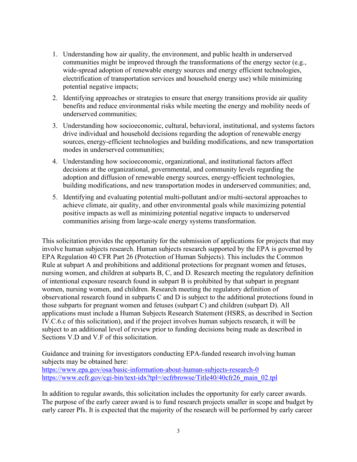- 1. Understanding how air quality, the environment, and public health in underserved communities might be improved through the transformations of the energy sector (e.g., wide-spread adoption of renewable energy sources and energy efficient technologies, electrification of transportation services and household energy use) while minimizing potential negative impacts;
- 2. Identifying approaches or strategies to ensure that energy transitions provide air quality benefits and reduce environmental risks while meeting the energy and mobility needs of underserved communities;
- 3. Understanding how socioeconomic, cultural, behavioral, institutional, and systems factors drive individual and household decisions regarding the adoption of renewable energy sources, energy-efficient technologies and building modifications, and new transportation modes in underserved communities;
- 4. Understanding how socioeconomic, organizational, and institutional factors affect decisions at the organizational, governmental, and community levels regarding the adoption and diffusion of renewable energy sources, energy-efficient technologies, building modifications, and new transportation modes in underserved communities; and,
- 5. Identifying and evaluating potential multi-pollutant and/or multi-sectoral approaches to achieve climate, air quality, and other environmental goals while maximizing potential positive impacts as well as minimizing potential negative impacts to underserved communities arising from large-scale energy systems transformation.

This solicitation provides the opportunity for the submission of applications for projects that may involve human subjects research. Human subjects research supported by the EPA is governed by EPA Regulation 40 CFR Part 26 (Protection of Human Subjects). This includes the Common Rule at subpart A and prohibitions and additional protections for pregnant women and fetuses, nursing women, and children at subparts B, C, and D. Research meeting the regulatory definition of intentional exposure research found in subpart B is prohibited by that subpart in pregnant women, nursing women, and children. Research meeting the regulatory definition of observational research found in subparts C and D is subject to the additional protections found in those subparts for pregnant women and fetuses (subpart C) and children (subpart D). All applications must include a Human Subjects Research Statement (HSRS, as described in Section IV.C.6.c of this solicitation), and if the project involves human subjects research, it will be subject to an additional level of review prior to funding decisions being made as described in Sections V.D and V.F of this solicitation.

Guidance and training for investigators conducting EPA-funded research involving human subjects may be obtained here: <https://www.epa.gov/osa/basic-information-about-human-subjects-research-0> [https://www.ecfr.gov/cgi-bin/text-idx?tpl=/ecfrbrowse/Title40/40cfr26\\_main\\_02.tpl](https://www.ecfr.gov/cgi-bin/text-idx?tpl=/ecfrbrowse/Title40/40cfr26_main_02.tpl)

In addition to regular awards, this solicitation includes the opportunity for early career awards. The purpose of the early career award is to fund research projects smaller in scope and budget by early career PIs. It is expected that the majority of the research will be performed by early career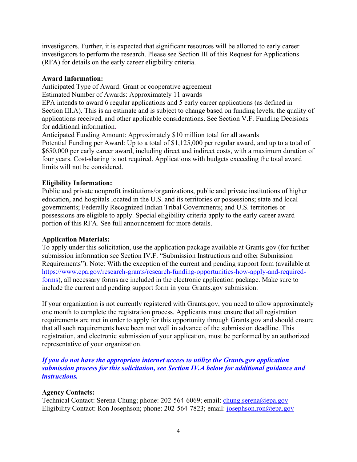investigators. Further, it is expected that significant resources will be allotted to early career investigators to perform the research. Please see Section III of this Request for Applications (RFA) for details on the early career eligibility criteria.

#### <span id="page-3-0"></span>**Award Information:**

Anticipated Type of Award: Grant or cooperative agreement

Estimated Number of Awards: Approximately 11 awards

EPA intends to award 6 regular applications and 5 early career applications (as defined in Section III.A). This is an estimate and is subject to change based on funding levels, the quality of applications received, and other applicable considerations. See Section V.F. Funding Decisions for additional information.

Anticipated Funding Amount: Approximately \$10 million total for all awards Potential Funding per Award: Up to a total of \$1,125,000 per regular award, and up to a total of \$650,000 per early career award, including direct and indirect costs, with a maximum duration of four years. Cost-sharing is not required. Applications with budgets exceeding the total award limits will not be considered.

#### <span id="page-3-1"></span>**Eligibility Information:**

Public and private nonprofit institutions/organizations, public and private institutions of higher education, and hospitals located in the U.S. and its territories or possessions; state and local governments; Federally Recognized Indian Tribal Governments; and U.S. territories or possessions are eligible to apply. Special eligibility criteria apply to the early career award portion of this RFA. See full announcement for more details.

#### <span id="page-3-2"></span>**Application Materials:**

To apply under this solicitation, use the application package available at Grants.gov (for further submission information see Section IV.F. "Submission Instructions and other Submission Requirements"). Note: With the exception of the current and pending support form (available at [https://www.epa.gov/research-grants/research-funding-opportunities-how-apply-and-required](https://www.epa.gov/research-grants/research-funding-opportunities-how-apply-and-required-forms)[forms\)](https://www.epa.gov/research-grants/research-funding-opportunities-how-apply-and-required-forms), all necessary forms are included in the electronic application package. Make sure to include the current and pending support form in your Grants.gov submission.

If your organization is not currently registered with Grants.gov, you need to allow approximately one month to complete the registration process. Applicants must ensure that all registration requirements are met in order to apply for this opportunity through Grants.gov and should ensure that all such requirements have been met well in advance of the submission deadline. This registration, and electronic submission of your application, must be performed by an authorized representative of your organization.

*If you do not have the appropriate internet access to utilize the Grants.gov application submission process for this solicitation, see Section IV.A below for additional guidance and instructions.*

#### <span id="page-3-3"></span>**Agency Contacts:**

Technical Contact: Serena Chung; phone: 202-564-6069; email: *chung.serena@epa.gov* Eligibility Contact: Ron Josephson; phone: 202-564-7823; email: [josephson.ron@epa.gov](mailto:josephson.ron@epa.gov)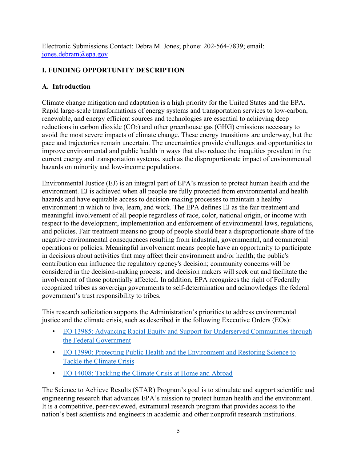Electronic Submissions Contact: Debra M. Jones; phone: 202-564-7839; email: [jones.debram@epa.gov](mailto:jones.debram@epa.gov)

# <span id="page-4-0"></span>**I. FUNDING OPPORTUNITY DESCRIPTION**

## <span id="page-4-1"></span>**A. Introduction**

Climate change mitigation and adaptation is a high priority for the United States and the EPA. Rapid large-scale transformations of energy systems and transportation services to low-carbon, renewable, and energy efficient sources and technologies are essential to achieving deep reductions in carbon dioxide  $(CO_2)$  and other greenhouse gas  $(GHG)$  emissions necessary to avoid the most severe impacts of climate change. These energy transitions are underway, but the pace and trajectories remain uncertain. The uncertainties provide challenges and opportunities to improve environmental and public health in ways that also reduce the inequities prevalent in the current energy and transportation systems, such as the disproportionate impact of environmental hazards on minority and low-income populations.

Environmental Justice (EJ) is an integral part of EPA's mission to protect human health and the environment. EJ is achieved when all people are fully protected from environmental and health hazards and have equitable access to decision-making processes to maintain a healthy environment in which to live, learn, and work. The EPA defines EJ as the fair treatment and meaningful involvement of all people regardless of race, color, national origin, or income with respect to the development, implementation and enforcement of environmental laws, regulations, and policies. Fair treatment means no group of people should bear a disproportionate share of the negative environmental consequences resulting from industrial, governmental, and commercial operations or policies. Meaningful involvement means people have an opportunity to participate in decisions about activities that may affect their environment and/or health; the public's contribution can influence the regulatory agency's decision; community concerns will be considered in the decision-making process; and decision makers will seek out and facilitate the involvement of those potentially affected. In addition, EPA recognizes the right of Federally recognized tribes as sovereign governments to self-determination and acknowledges the federal government's trust responsibility to tribes.

This research solicitation supports the Administration's priorities to address environmental justice and the climate crisis, such as described in the following Executive Orders (EOs):

- EO 13985: [Advancing Racial Equity and Support for Underserved Communities through](https://gcc02.safelinks.protection.outlook.com/?url=https%3A%2F%2Fwww.federalregister.gov%2Fdocuments%2F2021%2F01%2F25%2F2021-01753%2Fadvancing-racial-equity-and-support-for-underserved-communities-through-the-federal-government&data=04%7C01%7Chahn.intaek%40epa.gov%7C76343068001e475feff808d91549e0ba%7C88b378b367484867acf976aacbeca6a7%7C0%7C0%7C637564229922305360%7CUnknown%7CTWFpbGZsb3d8eyJWIjoiMC4wLjAwMDAiLCJQIjoiV2luMzIiLCJBTiI6Ik1haWwiLCJXVCI6Mn0%3D%7C1000&sdata=WbMBlAl21bGTGFf3zXG3zFJKguyTgWPdmxPwhEj%2BgV0%3D&reserved=0)  [the Federal Government](https://gcc02.safelinks.protection.outlook.com/?url=https%3A%2F%2Fwww.federalregister.gov%2Fdocuments%2F2021%2F01%2F25%2F2021-01753%2Fadvancing-racial-equity-and-support-for-underserved-communities-through-the-federal-government&data=04%7C01%7Chahn.intaek%40epa.gov%7C76343068001e475feff808d91549e0ba%7C88b378b367484867acf976aacbeca6a7%7C0%7C0%7C637564229922305360%7CUnknown%7CTWFpbGZsb3d8eyJWIjoiMC4wLjAwMDAiLCJQIjoiV2luMzIiLCJBTiI6Ik1haWwiLCJXVCI6Mn0%3D%7C1000&sdata=WbMBlAl21bGTGFf3zXG3zFJKguyTgWPdmxPwhEj%2BgV0%3D&reserved=0)
- [EO 13990: Protecting Public Health and the Environment](https://gcc02.safelinks.protection.outlook.com/?url=https%3A%2F%2Fwww.whitehouse.gov%2Fbriefing-room%2Fpresidential-actions%2F2021%2F01%2F20%2Fexecutive-order-protecting-public-health-and-environment-and-restoring-science-to-tackle-climate-crisis%2F&data=04%7C01%7Chahn.intaek%40epa.gov%7C76343068001e475feff808d91549e0ba%7C88b378b367484867acf976aacbeca6a7%7C0%7C0%7C637564229922315302%7CUnknown%7CTWFpbGZsb3d8eyJWIjoiMC4wLjAwMDAiLCJQIjoiV2luMzIiLCJBTiI6Ik1haWwiLCJXVCI6Mn0%3D%7C1000&sdata=HgxpwgbyIowq8cvQE4%2BBZZRUyTTNSPb4CooJPh6%2BsEk%3D&reserved=0) and Restoring Science to Tackle the [Climate Crisis](https://gcc02.safelinks.protection.outlook.com/?url=https%3A%2F%2Fwww.whitehouse.gov%2Fbriefing-room%2Fpresidential-actions%2F2021%2F01%2F20%2Fexecutive-order-protecting-public-health-and-environment-and-restoring-science-to-tackle-climate-crisis%2F&data=04%7C01%7Chahn.intaek%40epa.gov%7C76343068001e475feff808d91549e0ba%7C88b378b367484867acf976aacbeca6a7%7C0%7C0%7C637564229922315302%7CUnknown%7CTWFpbGZsb3d8eyJWIjoiMC4wLjAwMDAiLCJQIjoiV2luMzIiLCJBTiI6Ik1haWwiLCJXVCI6Mn0%3D%7C1000&sdata=HgxpwgbyIowq8cvQE4%2BBZZRUyTTNSPb4CooJPh6%2BsEk%3D&reserved=0)
- [EO 14008: Tackling the Climate Crisis at Home and](https://gcc02.safelinks.protection.outlook.com/?url=https%3A%2F%2Fwww.whitehouse.gov%2Fbriefing-room%2Fpresidential-actions%2F2021%2F01%2F27%2Fexecutive-order-on-tackling-the-climate-crisis-at-home-and-abroad%2F&data=04%7C01%7Chahn.intaek%40epa.gov%7C76343068001e475feff808d91549e0ba%7C88b378b367484867acf976aacbeca6a7%7C0%7C0%7C637564229922315302%7CUnknown%7CTWFpbGZsb3d8eyJWIjoiMC4wLjAwMDAiLCJQIjoiV2luMzIiLCJBTiI6Ik1haWwiLCJXVCI6Mn0%3D%7C1000&sdata=dKYD4BtLZKo9oN%2F%2B11dAz8AOE0UR%2FW62ip%2F0f7VKBys%3D&reserved=0) Abroad

The Science to Achieve Results (STAR) Program's goal is to stimulate and support scientific and engineering research that advances EPA's mission to protect human health and the environment. It is a competitive, peer-reviewed, extramural research program that provides access to the nation's best scientists and engineers in academic and other nonprofit research institutions.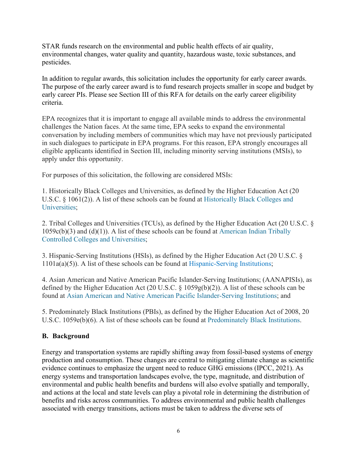STAR funds research on the environmental and public health effects of air quality, environmental changes, water quality and quantity, hazardous waste, toxic substances, and pesticides.

In addition to regular awards, this solicitation includes the opportunity for early career awards. The purpose of the early career award is to fund research projects smaller in scope and budget by early career PIs. Please see Section III of this RFA for details on the early career eligibility criteria.

EPA recognizes that it is important to engage all available minds to address the environmental challenges the Nation faces. At the same time, EPA seeks to expand the environmental conversation by including members of communities which may have not previously participated in such dialogues to participate in EPA programs. For this reason, EPA strongly encourages all eligible applicants identified in Section III, including minority serving institutions (MSIs), to apply under this opportunity.

For purposes of this solicitation, the following are considered MSIs:

1. Historically Black Colleges and Universities, as defined by the Higher Education Act (20 U.S.C. § 1061(2)). A list of these schools can be found at [Historically Black Colleges and](https://sites.ed.gov/whhbcu/one-hundred-and-five-historically-black-colleges-and-universities/)  [Universities;](https://sites.ed.gov/whhbcu/one-hundred-and-five-historically-black-colleges-and-universities/)

2. Tribal Colleges and Universities (TCUs), as defined by the Higher Education Act (20 U.S.C. §  $1059c(b)(3)$  and  $(d)(1)$ ). A list of these schools can be found at American Indian Tribally [Controlled Colleges and Universities;](https://sites.ed.gov/whiaiane/tribes-tcus/tribal-colleges-and-universities/)

3. Hispanic-Serving Institutions (HSIs), as defined by the Higher Education Act (20 U.S.C. § 1101a(a)(5)). A list of these schools can be found at [Hispanic-Serving Institutions;](https://sites.ed.gov/hispanic-initiative/hispanic-serving-institutions-hsis/)

4. Asian American and Native American Pacific Islander-Serving Institutions; (AANAPISIs), as defined by the Higher Education Act (20 U.S.C. § 1059g(b)(2)). A list of these schools can be found at [Asian American and Native American Pacific Islander-Serving Institutions;](https://www.google.com/maps/d/viewer?mid=1XVkOWKMDORm53pvU0L8EPsrJC94&msa=0&ie=UTF8&t=m&z=3&source=embed&ll=40.58644586187277%2C-148.28228249999984) and

5. Predominately Black Institutions (PBIs), as defined by the Higher Education Act of 2008, 20 U.S.C. 1059e(b)(6). A list of these schools can be found at [Predominately Black Institutions.](https://www.google.com/maps/d/viewer?mid=1wlIi3j7gtlNq_w-0NKAb2bF2VmY&ie=UTF&msa=0&ll=37.35160769312532%2C-96.17229800000001&z=4)

# <span id="page-5-0"></span>**B. Background**

Energy and transportation systems are rapidly shifting away from fossil-based systems of energy production and consumption. These changes are central to mitigating climate change as scientific evidence continues to emphasize the urgent need to reduce GHG emissions (IPCC, 2021). As energy systems and transportation landscapes evolve, the type, magnitude, and distribution of environmental and public health benefits and burdens will also evolve spatially and temporally, and actions at the local and state levels can play a pivotal role in determining the distribution of benefits and risks across communities. To address environmental and public health challenges associated with energy transitions, actions must be taken to address the diverse sets of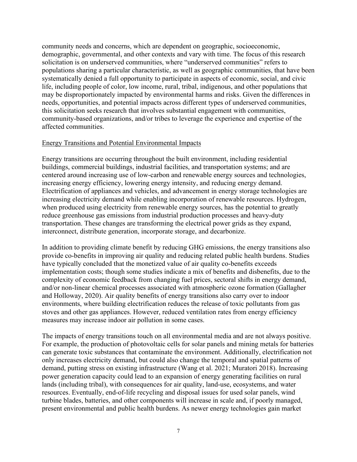community needs and concerns, which are dependent on geographic, socioeconomic, demographic, governmental, and other contexts and vary with time. The focus of this research solicitation is on underserved communities, where "underserved communities" refers to populations sharing a particular characteristic, as well as geographic communities, that have been systematically denied a full opportunity to participate in aspects of economic, social, and civic life, including people of color, low income, rural, tribal, indigenous, and other populations that may be disproportionately impacted by environmental harms and risks. Given the differences in needs, opportunities, and potential impacts across different types of underserved communities, this solicitation seeks research that involves substantial engagement with communities, community-based organizations, and/or tribes to leverage the experience and expertise of the affected communities.

#### Energy Transitions and Potential Environmental Impacts

Energy transitions are occurring throughout the built environment, including residential buildings, commercial buildings, industrial facilities, and transportation systems; and are centered around increasing use of low-carbon and renewable energy sources and technologies, increasing energy efficiency, lowering energy intensity, and reducing energy demand. Electrification of appliances and vehicles, and advancement in energy storage technologies are increasing electricity demand while enabling incorporation of renewable resources. Hydrogen, when produced using electricity from renewable energy sources, has the potential to greatly reduce greenhouse gas emissions from industrial production processes and heavy-duty transportation. These changes are transforming the electrical power grids as they expand, interconnect, distribute generation, incorporate storage, and decarbonize.

In addition to providing climate benefit by reducing GHG emissions, the energy transitions also provide co-benefits in improving air quality and reducing related public health burdens. Studies have typically concluded that the monetized value of air quality co-benefits exceeds implementation costs; though some studies indicate a mix of benefits and disbenefits, due to the complexity of economic feedback from changing fuel prices, sectoral shifts in energy demand, and/or non-linear chemical processes associated with atmospheric ozone formation (Gallagher and Holloway, 2020). Air quality benefits of energy transitions also carry over to indoor environments, where building electrification reduces the release of toxic pollutants from gas stoves and other gas appliances. However, reduced ventilation rates from energy efficiency measures may increase indoor air pollution in some cases.

The impacts of energy transitions touch on all environmental media and are not always positive. For example, the production of photovoltaic cells for solar panels and mining metals for batteries can generate toxic substances that contaminate the environment. Additionally, electrification not only increases electricity demand, but could also change the temporal and spatial patterns of demand, putting stress on existing infrastructure (Wang et al. 2021; Muratori 2018). Increasing power generation capacity could lead to an expansion of energy generating facilities on rural lands (including tribal), with consequences for air quality, land-use, ecosystems, and water resources. Eventually, end-of-life recycling and disposal issues for used solar panels, wind turbine blades, batteries, and other components will increase in scale and, if poorly managed, present environmental and public health burdens. As newer energy technologies gain market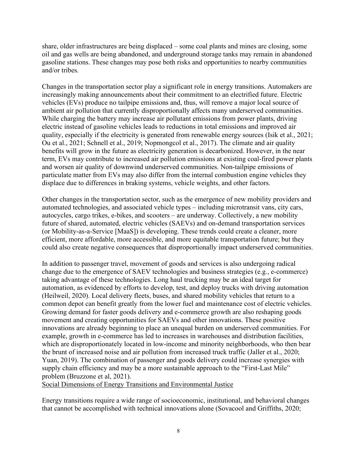share, older infrastructures are being displaced – some coal plants and mines are closing, some oil and gas wells are being abandoned, and underground storage tanks may remain in abandoned gasoline stations. These changes may pose both risks and opportunities to nearby communities and/or tribes.

Changes in the transportation sector play a significant role in energy transitions. Automakers are increasingly making announcements about their commitment to an electrified future. Electric vehicles (EVs) produce no tailpipe emissions and, thus, will remove a major local source of ambient air pollution that currently disproportionally affects many underserved communities. While charging the battery may increase air pollutant emissions from power plants, driving electric instead of gasoline vehicles leads to reductions in total emissions and improved air quality, especially if the electricity is generated from renewable energy sources (Isik et al., 2021; Ou et al., 2021; Schnell et al., 2019; Nopmongcol et al., 2017). The climate and air quality benefits will grow in the future as electricity generation is decarbonized. However, in the near term, EVs may contribute to increased air pollution emissions at existing coal-fired power plants and worsen air quality of downwind underserved communities. Non-tailpipe emissions of particulate matter from EVs may also differ from the internal combustion engine vehicles they displace due to differences in braking systems, vehicle weights, and other factors.

Other changes in the transportation sector, such as the emergence of new mobility providers and automated technologies, and associated vehicle types – including microtransit vans, city cars, autocycles, cargo trikes, e-bikes, and scooters – are underway. Collectively, a new mobility future of shared, automated, electric vehicles (SAEVs) and on-demand transportation services (or Mobility-as-a-Service [MaaS]) is developing. These trends could create a cleaner, more efficient, more affordable, more accessible, and more equitable transportation future; but they could also create negative consequences that disproportionally impact underserved communities.

In addition to passenger travel, movement of goods and services is also undergoing radical change due to the emergence of SAEV technologies and business strategies (e.g., e-commerce) taking advantage of these technologies. Long haul trucking may be an ideal target for automation, as evidenced by efforts to develop, test, and deploy trucks with driving automation (Heilweil, 2020). Local delivery fleets, buses, and shared mobility vehicles that return to a common depot can benefit greatly from the lower fuel and maintenance cost of electric vehicles. Growing demand for faster goods delivery and e-commerce growth are also reshaping goods movement and creating opportunities for SAEVs and other innovations. These positive innovations are already beginning to place an unequal burden on underserved communities. For example, growth in e-commerce has led to increases in warehouses and distribution facilities, which are disproportionately located in low-income and minority neighborhoods, who then bear the brunt of increased noise and air pollution from increased truck traffic (Jaller et al., 2020; Yuan, 2019). The combination of passenger and goods delivery could increase synergies with supply chain efficiency and may be a more sustainable approach to the "First-Last Mile" problem (Bruzzone et al, 2021).

Social Dimensions of Energy Transitions and Environmental Justice

Energy transitions require a wide range of socioeconomic, institutional, and behavioral changes that cannot be accomplished with technical innovations alone (Sovacool and Griffiths, 2020;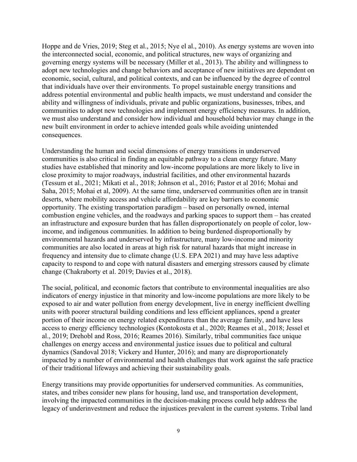Hoppe and de Vries, 2019; Steg et al., 2015; Nye el al., 2010). As energy systems are woven into the interconnected social, economic, and political structures, new ways of organizing and governing energy systems will be necessary (Miller et al., 2013). The ability and willingness to adopt new technologies and change behaviors and acceptance of new initiatives are dependent on economic, social, cultural, and political contexts, and can be influenced by the degree of control that individuals have over their environments. To propel sustainable energy transitions and address potential environmental and public health impacts, we must understand and consider the ability and willingness of individuals, private and public organizations, businesses, tribes, and communities to adopt new technologies and implement energy efficiency measures. In addition, we must also understand and consider how individual and household behavior may change in the new built environment in order to achieve intended goals while avoiding unintended consequences.

Understanding the human and social dimensions of energy transitions in underserved communities is also critical in finding an equitable pathway to a clean energy future. Many studies have established that minority and low-income populations are more likely to live in close proximity to major roadways, industrial facilities, and other environmental hazards (Tessum et al., 2021; Mikati et al., 2018; Johnson et al., 2016; Pastor et al 2016; Mohai and Saha, 2015; Mohai et al, 2009). At the same time, underserved communities often are in transit deserts, where mobility access and vehicle affordability are key barriers to economic opportunity. The existing transportation paradigm – based on personally owned, internal combustion engine vehicles, and the roadways and parking spaces to support them – has created an infrastructure and exposure burden that has fallen disproportionately on people of color, lowincome, and indigenous communities. In addition to being burdened disproportionally by environmental hazards and underserved by infrastructure, many low-income and minority communities are also located in areas at high risk for natural hazards that might increase in frequency and intensity due to climate change (U.S. EPA 2021) and may have less adaptive capacity to respond to and cope with natural disasters and emerging stressors caused by climate change (Chakraborty et al. 2019; Davies et al., 2018).

The social, political, and economic factors that contribute to environmental inequalities are also indicators of energy injustice in that minority and low-income populations are more likely to be exposed to air and water pollution from energy development, live in energy inefficient dwelling units with poorer structural building conditions and less efficient appliances, spend a greater portion of their income on energy related expenditures than the average family, and have less access to energy efficiency technologies (Kontokosta et al., 2020; Reames et al., 2018; Jessel et al., 2019; Drehobl and Ross, 2016; Reames 2016). Similarly, tribal communities face unique challenges on energy access and environmental justice issues due to political and cultural dynamics (Sandoval 2018; Vickery and Hunter, 2016); and many are disproportionately impacted by a number of environmental and health challenges that work against the safe practice of their traditional lifeways and achieving their sustainability goals.

Energy transitions may provide opportunities for underserved communities. As communities, states, and tribes consider new plans for housing, land use, and transportation development, involving the impacted communities in the decision-making process could help address the legacy of underinvestment and reduce the injustices prevalent in the current systems. Tribal land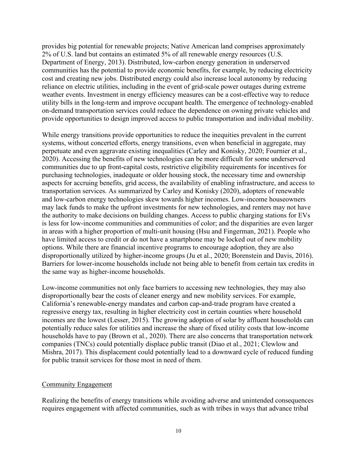provides big potential for renewable projects; Native American land comprises approximately 2% of U.S. land but contains an estimated 5% of all renewable energy resources (U.S. Department of Energy, 2013). Distributed, low-carbon energy generation in underserved communities has the potential to provide economic benefits, for example, by reducing electricity cost and creating new jobs. Distributed energy could also increase local autonomy by reducing reliance on electric utilities, including in the event of grid-scale power outages during extreme weather events. Investment in energy efficiency measures can be a cost-effective way to reduce utility bills in the long-term and improve occupant health. The emergence of technology-enabled on-demand transportation services could reduce the dependence on owning private vehicles and provide opportunities to design improved access to public transportation and individual mobility.

While energy transitions provide opportunities to reduce the inequities prevalent in the current systems, without concerted efforts, energy transitions, even when beneficial in aggregate, may perpetuate and even aggravate existing inequalities (Carley and Konisky, 2020; Fournier et al., 2020). Accessing the benefits of new technologies can be more difficult for some underserved communities due to up front-capital costs, restrictive eligibility requirements for incentives for purchasing technologies, inadequate or older housing stock, the necessary time and ownership aspects for accruing benefits, grid access, the availability of enabling infrastructure, and access to transportation services. As summarized by Carley and Konisky (2020), adopters of renewable and low-carbon energy technologies skew towards higher incomes. Low-income houseowners may lack funds to make the upfront investments for new technologies, and renters may not have the authority to make decisions on building changes. Access to public charging stations for EVs is less for low-income communities and communities of color; and the disparities are even larger in areas with a higher proportion of multi-unit housing (Hsu and Fingerman, 2021). People who have limited access to credit or do not have a smartphone may be locked out of new mobility options. While there are financial incentive programs to encourage adoption, they are also disproportionally utilized by higher-income groups (Ju et al., 2020; Borenstein and Davis, 2016). Barriers for lower-income households include not being able to benefit from certain tax credits in the same way as higher-income households.

Low-income communities not only face barriers to accessing new technologies, they may also disproportionally bear the costs of cleaner energy and new mobility services. For example, California's renewable-energy mandates and carbon cap-and-trade program have created a regressive energy tax, resulting in higher electricity cost in certain counties where household incomes are the lowest (Lesser, 2015). The growing adoption of solar by affluent households can potentially reduce sales for utilities and increase the share of fixed utility costs that low-income households have to pay (Brown et al., 2020). There are also concerns that transportation network companies (TNCs) could potentially displace public transit (Diao et al., 2021; Clewlow and Mishra, 2017). This displacement could potentially lead to a downward cycle of reduced funding for public transit services for those most in need of them.

#### Community Engagement

Realizing the benefits of energy transitions while avoiding adverse and unintended consequences requires engagement with affected communities, such as with tribes in ways that advance tribal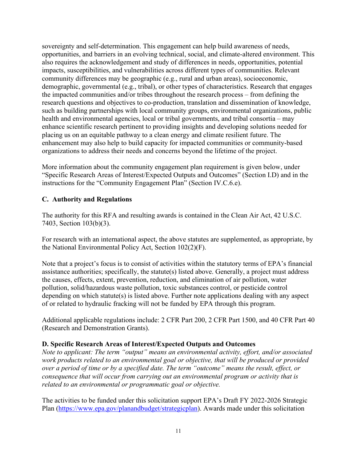sovereignty and self-determination. This engagement can help build awareness of needs, opportunities, and barriers in an evolving technical, social, and climate-altered environment. This also requires the acknowledgement and study of differences in needs, opportunities, potential impacts, susceptibilities, and vulnerabilities across different types of communities. Relevant community differences may be geographic (e.g., rural and urban areas), socioeconomic, demographic, governmental (e.g., tribal), or other types of characteristics. Research that engages the impacted communities and/or tribes throughout the research process – from defining the research questions and objectives to co-production, translation and dissemination of knowledge, such as building partnerships with local community groups, environmental organizations, public health and environmental agencies, local or tribal governments, and tribal consortia – may enhance scientific research pertinent to providing insights and developing solutions needed for placing us on an equitable pathway to a clean energy and climate resilient future. The enhancement may also help to build capacity for impacted communities or community-based organizations to address their needs and concerns beyond the lifetime of the project.

More information about the community engagement plan requirement is given below, under "Specific Research Areas of Interest/Expected Outputs and Outcomes" (Section I.D) and in the instructions for the "Community Engagement Plan" (Section IV.C.6.e).

# <span id="page-10-0"></span>**C. Authority and Regulations**

The authority for this RFA and resulting awards is contained in the Clean Air Act, 42 U.S.C. 7403, Section 103(b)(3).

For research with an international aspect, the above statutes are supplemented, as appropriate, by the National Environmental Policy Act, Section 102(2)(F).

Note that a project's focus is to consist of activities within the statutory terms of EPA's financial assistance authorities; specifically, the statute(s) listed above. Generally, a project must address the causes, effects, extent, prevention, reduction, and elimination of air pollution, water pollution, solid/hazardous waste pollution, toxic substances control, or pesticide control depending on which statute(s) is listed above. Further note applications dealing with any aspect of or related to hydraulic fracking will not be funded by EPA through this program.

Additional applicable regulations include: 2 CFR Part 200, 2 CFR Part 1500, and 40 CFR Part 40 (Research and Demonstration Grants).

#### <span id="page-10-1"></span>**D. Specific Research Areas of Interest/Expected Outputs and Outcomes**

*Note to applicant: The term "output" means an environmental activity, effort, and/or associated work products related to an environmental goal or objective, that will be produced or provided over a period of time or by a specified date. The term "outcome" means the result, effect, or consequence that will occur from carrying out an environmental program or activity that is related to an environmental or programmatic goal or objective.*

The activities to be funded under this solicitation support EPA's Draft FY 2022-2026 Strategic Plan [\(https://www.epa.gov/planandbudget/strategicplan\)](https://www.epa.gov/planandbudget/strategicplan). Awards made under this solicitation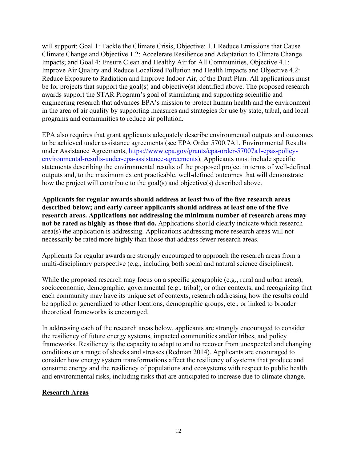will support: Goal 1: Tackle the Climate Crisis, Objective: 1.1 Reduce Emissions that Cause Climate Change and Objective 1.2: Accelerate Resilience and Adaptation to Climate Change Impacts; and Goal 4: Ensure Clean and Healthy Air for All Communities, Objective 4.1: Improve Air Quality and Reduce Localized Pollution and Health Impacts and Objective 4.2: Reduce Exposure to Radiation and Improve Indoor Air, of the Draft Plan. All applications must be for projects that support the goal(s) and objective(s) identified above. The proposed research awards support the STAR Program's goal of stimulating and supporting scientific and engineering research that advances EPA's mission to protect human health and the environment in the area of air quality by supporting measures and strategies for use by state, tribal, and local programs and communities to reduce air pollution.

EPA also requires that grant applicants adequately describe environmental outputs and outcomes to be achieved under assistance agreements (see EPA Order 5700.7A1, Environmental Results under Assistance Agreements, [https://www.epa.gov/grants/epa-order-57007a1-epas-policy](https://www.epa.gov/grants/epa-order-57007a1-epas-policy-environmental-results-under-epa-assistance-agreements)[environmental-results-under-epa-assistance-agreements\)](https://www.epa.gov/grants/epa-order-57007a1-epas-policy-environmental-results-under-epa-assistance-agreements). Applicants must include specific statements describing the environmental results of the proposed project in terms of well-defined outputs and, to the maximum extent practicable, well-defined outcomes that will demonstrate how the project will contribute to the goal(s) and objective(s) described above.

**Applicants for regular awards should address at least two of the five research areas described below; and early career applicants should address at least one of the five research areas. Applications not addressing the minimum number of research areas may not be rated as highly as those that do.** Applications should clearly indicate which research area(s) the application is addressing. Applications addressing more research areas will not necessarily be rated more highly than those that address fewer research areas.

Applicants for regular awards are strongly encouraged to approach the research areas from a multi-disciplinary perspective (e.g., including both social and natural science disciplines).

While the proposed research may focus on a specific geographic (e.g., rural and urban areas), socioeconomic, demographic, governmental (e.g., tribal), or other contexts, and recognizing that each community may have its unique set of contexts, research addressing how the results could be applied or generalized to other locations, demographic groups, etc., or linked to broader theoretical frameworks is encouraged.

In addressing each of the research areas below, applicants are strongly encouraged to consider the resiliency of future energy systems, impacted communities and/or tribes, and policy frameworks. Resiliency is the capacity to adapt to and to recover from unexpected and changing conditions or a range of shocks and stresses (Redman 2014). Applicants are encouraged to consider how energy system transformations affect the resiliency of systems that produce and consume energy and the resiliency of populations and ecosystems with respect to public health and environmental risks, including risks that are anticipated to increase due to climate change.

#### **Research Areas**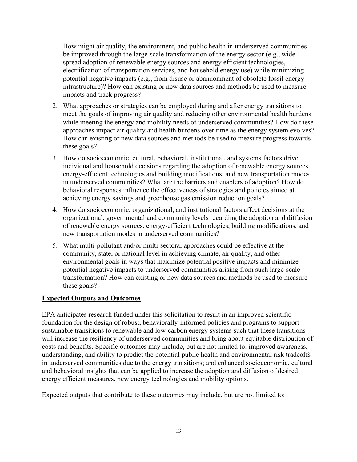- 1. How might air quality, the environment, and public health in underserved communities be improved through the large-scale transformation of the energy sector (e.g., widespread adoption of renewable energy sources and energy efficient technologies, electrification of transportation services, and household energy use) while minimizing potential negative impacts (e.g., from disuse or abandonment of obsolete fossil energy infrastructure)? How can existing or new data sources and methods be used to measure impacts and track progress?
- 2. What approaches or strategies can be employed during and after energy transitions to meet the goals of improving air quality and reducing other environmental health burdens while meeting the energy and mobility needs of underserved communities? How do these approaches impact air quality and health burdens over time as the energy system evolves? How can existing or new data sources and methods be used to measure progress towards these goals?
- 3. How do socioeconomic, cultural, behavioral, institutional, and systems factors drive individual and household decisions regarding the adoption of renewable energy sources, energy-efficient technologies and building modifications, and new transportation modes in underserved communities? What are the barriers and enablers of adoption? How do behavioral responses influence the effectiveness of strategies and policies aimed at achieving energy savings and greenhouse gas emission reduction goals?
- 4. How do socioeconomic, organizational, and institutional factors affect decisions at the organizational, governmental and community levels regarding the adoption and diffusion of renewable energy sources, energy-efficient technologies, building modifications, and new transportation modes in underserved communities?
- 5. What multi-pollutant and/or multi-sectoral approaches could be effective at the community, state, or national level in achieving climate, air quality, and other environmental goals in ways that maximize potential positive impacts and minimize potential negative impacts to underserved communities arising from such large-scale transformation? How can existing or new data sources and methods be used to measure these goals?

#### **Expected Outputs and Outcomes**

EPA anticipates research funded under this solicitation to result in an improved scientific foundation for the design of robust, behaviorally-informed policies and programs to support sustainable transitions to renewable and low-carbon energy systems such that these transitions will increase the resiliency of underserved communities and bring about equitable distribution of costs and benefits. Specific outcomes may include, but are not limited to: improved awareness, understanding, and ability to predict the potential public health and environmental risk tradeoffs in underserved communities due to the energy transitions; and enhanced socioeconomic, cultural and behavioral insights that can be applied to increase the adoption and diffusion of desired energy efficient measures, new energy technologies and mobility options.

Expected outputs that contribute to these outcomes may include, but are not limited to: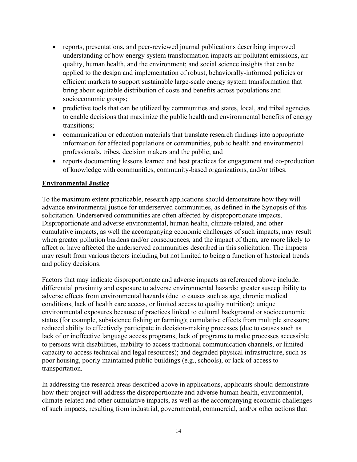- reports, presentations, and peer-reviewed journal publications describing improved understanding of how energy system transformation impacts air pollutant emissions, air quality, human health, and the environment; and social science insights that can be applied to the design and implementation of robust, behaviorally-informed policies or efficient markets to support sustainable large-scale energy system transformation that bring about equitable distribution of costs and benefits across populations and socioeconomic groups;
- predictive tools that can be utilized by communities and states, local, and tribal agencies to enable decisions that maximize the public health and environmental benefits of energy transitions;
- communication or education materials that translate research findings into appropriate information for affected populations or communities, public health and environmental professionals, tribes, decision makers and the public; and
- reports documenting lessons learned and best practices for engagement and co-production of knowledge with communities, community-based organizations, and/or tribes.

#### **Environmental Justice**

To the maximum extent practicable, research applications should demonstrate how they will advance environmental justice for underserved communities, as defined in the Synopsis of this solicitation. Underserved communities are often affected by disproportionate impacts. Disproportionate and adverse environmental, human health, climate-related, and other cumulative impacts, as well the accompanying economic challenges of such impacts, may result when greater pollution burdens and/or consequences, and the impact of them, are more likely to affect or have affected the underserved communities described in this solicitation. The impacts may result from various factors including but not limited to being a function of historical trends and policy decisions.

Factors that may indicate disproportionate and adverse impacts as referenced above include: differential proximity and exposure to adverse environmental hazards; greater susceptibility to adverse effects from environmental hazards (due to causes such as age, chronic medical conditions, lack of health care access, or limited access to quality nutrition); unique environmental exposures because of practices linked to cultural background or socioeconomic status (for example, subsistence fishing or farming); cumulative effects from multiple stressors; reduced ability to effectively participate in decision-making processes (due to causes such as lack of or ineffective language access programs, lack of programs to make processes accessible to persons with disabilities, inability to access traditional communication channels, or limited capacity to access technical and legal resources); and degraded physical infrastructure, such as poor housing, poorly maintained public buildings (e.g., schools), or lack of access to transportation.

In addressing the research areas described above in applications, applicants should demonstrate how their project will address the disproportionate and adverse human health, environmental, climate-related and other cumulative impacts, as well as the accompanying economic challenges of such impacts, resulting from industrial, governmental, commercial, and/or other actions that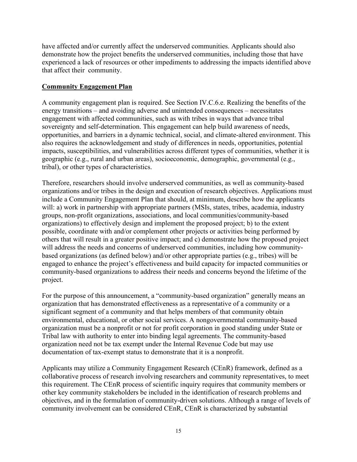have affected and/or currently affect the underserved communities. Applicants should also demonstrate how the project benefits the underserved communities, including those that have experienced a lack of resources or other impediments to addressing the impacts identified above that affect their community.

#### **Community Engagement Plan**

A community engagement plan is required. See Section IV.C.6.e. Realizing the benefits of the energy transitions – and avoiding adverse and unintended consequences – necessitates engagement with affected communities, such as with tribes in ways that advance tribal sovereignty and self-determination. This engagement can help build awareness of needs, opportunities, and barriers in a dynamic technical, social, and climate-altered environment. This also requires the acknowledgement and study of differences in needs, opportunities, potential impacts, susceptibilities, and vulnerabilities across different types of communities, whether it is geographic (e.g., rural and urban areas), socioeconomic, demographic, governmental (e.g., tribal), or other types of characteristics.

Therefore, researchers should involve underserved communities, as well as community-based organizations and/or tribes in the design and execution of research objectives. Applications must include a Community Engagement Plan that should, at minimum, describe how the applicants will: a) work in partnership with appropriate partners (MSIs, states, tribes, academia, industry groups, non-profit organizations, associations, and local communities/community-based organizations) to effectively design and implement the proposed project; b) to the extent possible, coordinate with and/or complement other projects or activities being performed by others that will result in a greater positive impact; and c) demonstrate how the proposed project will address the needs and concerns of underserved communities, including how communitybased organizations (as defined below) and/or other appropriate parties (e.g., tribes) will be engaged to enhance the project's effectiveness and build capacity for impacted communities or community-based organizations to address their needs and concerns beyond the lifetime of the project.

For the purpose of this announcement, a "community-based organization" generally means an organization that has demonstrated effectiveness as a representative of a community or a significant segment of a community and that helps members of that community obtain environmental, educational, or other social services. A nongovernmental community-based organization must be a nonprofit or not for profit corporation in good standing under State or Tribal law with authority to enter into binding legal agreements. The community-based organization need not be tax exempt under the Internal Revenue Code but may use documentation of tax-exempt status to demonstrate that it is a nonprofit.

Applicants may utilize a Community Engagement Research (CEnR) framework, defined as a collaborative process of research involving researchers and community representatives, to meet this requirement. The CEnR process of scientific inquiry requires that community members or other key community stakeholders be included in the identification of research problems and objectives, and in the formulation of community-driven solutions. Although a range of levels of community involvement can be considered CEnR, CEnR is characterized by substantial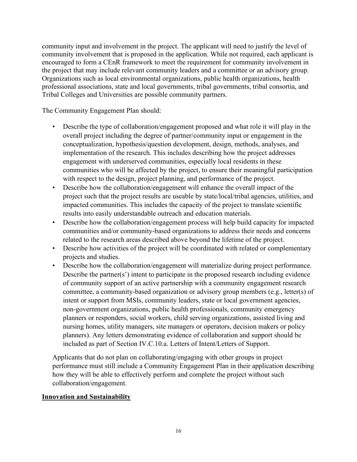community input and involvement in the project. The applicant will need to justify the level of community involvement that is proposed in the application. While not required, each applicant is encouraged to form a CEnR framework to meet the requirement for community involvement in the project that may include relevant community leaders and a committee or an advisory group. Organizations such as local environmental organizations, public health organizations, health professional associations, state and local governments, tribal governments, tribal consortia, and Tribal Colleges and Universities are possible community partners.

The Community Engagement Plan should:

- Describe the type of collaboration/engagement proposed and what role it will play in the overall project including the degree of partner/community input or engagement in the conceptualization, hypothesis/question development, design, methods, analyses, and implementation of the research. This includes describing how the project addresses engagement with underserved communities, especially local residents in these communities who will be affected by the project, to ensure their meaningful participation with respect to the design, project planning, and performance of the project.
- Describe how the collaboration/engagement will enhance the overall impact of the project such that the project results are useable by state/local/tribal agencies, utilities, and impacted communities. This includes the capacity of the project to translate scientific results into easily understandable outreach and education materials.
- Describe how the collaboration/engagement process will help build capacity for impacted communities and/or community-based organizations to address their needs and concerns related to the research areas described above beyond the lifetime of the project.
- Describe how activities of the project will be coordinated with related or complementary projects and studies.
- Describe how the collaboration/engagement will materialize during project performance. Describe the partner(s') intent to participate in the proposed research including evidence of community support of an active partnership with a community engagement research committee, a community-based organization or advisory group members (e.g., letter(s) of intent or support from MSIs, community leaders, state or local government agencies, non-government organizations, public health professionals, community emergency planners or responders, social workers, child serving organizations, assisted living and nursing homes, utility managers, site managers or operators, decision makers or policy planners). Any letters demonstrating evidence of collaboration and support should be included as part of Section IV.C.10.a. Letters of Intent/Letters of Support.

Applicants that do not plan on collaborating/engaging with other groups in project performance must still include a Community Engagement Plan in their application describing how they will be able to effectively perform and complete the project without such collaboration/engagement.

#### **Innovation and Sustainability**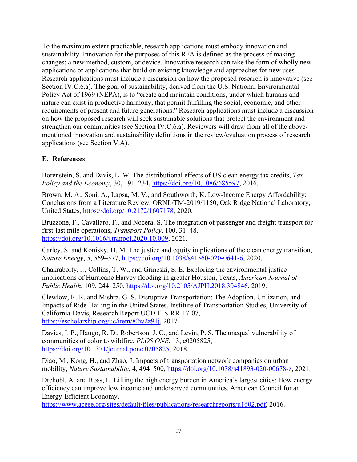To the maximum extent practicable, research applications must embody innovation and sustainability. Innovation for the purposes of this RFA is defined as the process of making changes; a new method, custom, or device. Innovative research can take the form of wholly new applications or applications that build on existing knowledge and approaches for new uses. Research applications must include a discussion on how the proposed research is innovative (see Section IV.C.6.a). The goal of sustainability, derived from the U.S. National Environmental Policy Act of 1969 (NEPA), is to "create and maintain conditions, under which humans and nature can exist in productive harmony, that permit fulfilling the social, economic, and other requirements of present and future generations." Research applications must include a discussion on how the proposed research will seek sustainable solutions that protect the environment and strengthen our communities (see Section IV.C.6.a). Reviewers will draw from all of the abovementioned innovation and sustainability definitions in the review/evaluation process of research applications (see Section V.A).

# <span id="page-16-0"></span>**E. References**

Borenstein, S. and Davis, L. W. The distributional effects of US clean energy tax credits, *Tax Policy and the Economy*, 30, 191–234, [https://doi.org/10.1086/685597,](https://doi.org/10.1086/685597) 2016.

Brown, M. A., Soni, A., Lapsa, M. V., and Southworth, K. Low-Income Energy Affordability: Conclusions from a Literature Review, ORNL/TM-2019/1150, Oak Ridge National Laboratory, United States, [https://doi.org/10.2172/1607178,](https://doi.org/10.2172/1607178) 2020.

Bruzzone, F., Cavallaro, F., and Nocera, S. The integration of passenger and freight transport for first-last mile operations, *Transport Policy*, 100, 31–48, [https://doi.org/10.1016/j.tranpol.2020.10.009,](https://doi.org/10.1016/j.tranpol.2020.10.009) 2021.

Carley, S. and Konisky, D. M. The justice and equity implications of the clean energy transition, *Nature Energy*, 5, 569–577, [https://doi.org/10.1038/s41560-020-0641-6,](https://doi.org/10.1038/s41560-020-0641-6) 2020.

Chakraborty, J., Collins, T. W., and Grineski, S. E. Exploring the environmental justice implications of Hurricane Harvey flooding in greater Houston, Texas, *American Journal of Public Health*, 109, 244–250, [https://doi.org/10.2105/AJPH.2018.304846,](https://doi.org/10.2105/AJPH.2018.304846) 2019.

Clewlow, R. R. and Mishra, G. S. Disruptive Transportation: The Adoption, Utilization, and Impacts of Ride-Hailing in the United States, Institute of Transportation Studies, University of California-Davis, Research Report UCD-ITS-RR-17-07, [https://escholarship.org/uc/item/82w2z91j,](https://escholarship.org/uc/item/82w2z91j) 2017.

Davies, I. P., Haugo, R. D., Robertson, J. C., and Levin, P. S. The unequal vulnerability of communities of color to wildfire, *PLOS ONE*, 13, e0205825, [https://doi.org/10.1371/journal.pone.0205825,](https://doi.org/10.1371/journal.pone.0205825) 2018.

Diao, M., Kong, H., and Zhao, J. Impacts of transportation network companies on urban mobility, *Nature Sustainability*, 4, 494–500, [https://doi.org/10.1038/s41893-020-00678-z,](https://doi.org/10.1038/s41893-020-00678-z) 2021.

Drehobl, A. and Ross, L. Lifting the high energy burden in America's largest cities: How energy efficiency can improve low income and underserved communities, American Council for an Energy-Efficient Economy,

[https://www.aceee.org/sites/default/files/publications/researchreports/u1602.pdf,](https://www.aceee.org/sites/default/files/publications/researchreports/u1602.pdf) 2016.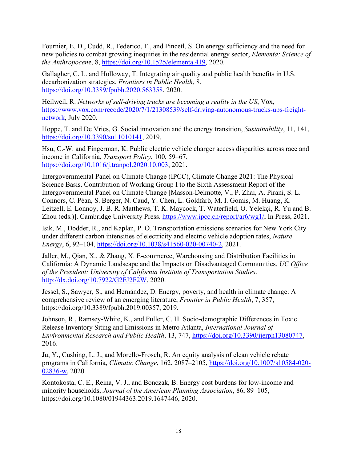Fournier, E. D., Cudd, R., Federico, F., and Pincetl, S. On energy sufficiency and the need for new policies to combat growing inequities in the residential energy sector, *Elementa: Science of the Anthropocen*e, 8, [https://doi.org/10.1525/elementa.419,](https://doi.org/10.1525/elementa.419) 2020.

Gallagher, C. L. and Holloway, T. Integrating air quality and public health benefits in U.S. decarbonization strategies, *Frontiers in Public Health*, 8, [https://doi.org/10.3389/fpubh.2020.563358,](https://doi.org/10.3389/fpubh.2020.563358) 2020.

Heilweil, R. *Networks of self-driving trucks are becoming a reality in the US*, Vox, [https://www.vox.com/recode/2020/7/1/21308539/self-driving-autonomous-trucks-ups-freight](https://www.vox.com/recode/2020/7/1/21308539/self-driving-autonomous-trucks-ups-freight-network)[network,](https://www.vox.com/recode/2020/7/1/21308539/self-driving-autonomous-trucks-ups-freight-network) July 2020.

Hoppe, T. and De Vries, G. Social innovation and the energy transition, *Sustainability*, 11, 141, [https://doi.org/10.3390/su11010141,](https://doi.org/10.3390/su11010141) 2019.

Hsu, C.-W. and Fingerman, K. Public electric vehicle charger access disparities across race and income in California, *Transport Policy*, 100, 59–67, [https://doi.org/10.1016/j.tranpol.2020.10.003,](https://doi.org/10.1016/j.tranpol.2020.10.003) 2021.

Intergovernmental Panel on Climate Change (IPCC), Climate Change 2021: The Physical Science Basis. Contribution of Working Group I to the Sixth Assessment Report of the Intergovernmental Panel on Climate Change [Masson-Delmotte, V., P. Zhai, A. Pirani, S. L. Connors, C. Péan, S. Berger, N. Caud, Y. Chen, L. Goldfarb, M. I. Gomis, M. Huang, K. Leitzell, E. Lonnoy, J. B. R. Matthews, T. K. Maycock, T. Waterfield, O. Yelekçi, R. Yu and B. Zhou (eds.)]. Cambridge University Press. [https://www.ipcc.ch/report/ar6/wg1/,](https://www.ipcc.ch/report/ar6/wg1/) In Press, 2021.

Isik, M., Dodder, R., and Kaplan, P. O. Transportation emissions scenarios for New York City under different carbon intensities of electricity and electric vehicle adoption rates, *Nature Energy*, 6, 92–104, [https://doi.org/10.1038/s41560-020-00740-2,](https://doi.org/10.1038/s41560-020-00740-2) 2021.

Jaller, M., Qian, X., & Zhang, X. E-commerce, Warehousing and Distribution Facilities in California: A Dynamic Landscape and the Impacts on Disadvantaged Communities. *UC Office of the President: University of California Institute of Transportation Studies*. [http://dx.doi.org/10.7922/G2FJ2F2W,](http://dx.doi.org/10.7922/G2FJ2F2W) 2020.

Jessel, S., Sawyer, S., and Hernández, D. Energy, poverty, and health in climate change: A comprehensive review of an emerging literature, *Frontier in Public Health*, 7, 357, https://doi.org/10.3389/fpubh.2019.00357, 2019.

Johnson, R., Ramsey-White, K., and Fuller, C. H. Socio-demographic Differences in Toxic Release Inventory Siting and Emissions in Metro Atlanta, *International Journal of Environmental Research and Public Health*, 13, 747, [https://doi.org/10.3390/ijerph13080747,](https://doi.org/10.3390/ijerph13080747) 2016.

Ju, Y., Cushing, L. J., and Morello-Frosch, R. An equity analysis of clean vehicle rebate programs in California, *Climatic Change*, 162, 2087–2105, [https://doi.org/10.1007/s10584-020-](https://doi.org/10.1007/s10584-020-02836-w) [02836-w,](https://doi.org/10.1007/s10584-020-02836-w) 2020.

Kontokosta, C. E., Reina, V. J., and Bonczak, B. Energy cost burdens for low-income and minority households, *Journal of the American Planning Association*, 86, 89–105, https://doi.org/10.1080/01944363.2019.1647446, 2020.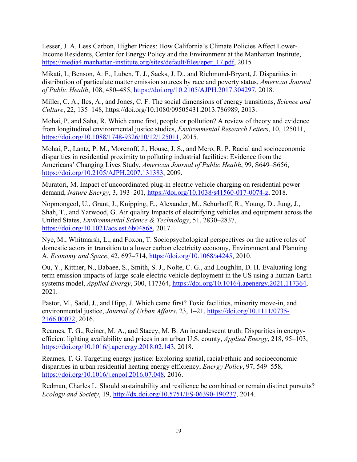Lesser, J. A. Less Carbon, Higher Prices: How California's Climate Policies Affect Lower-Income Residents, Center for Energy Policy and the Environment at the Manhattan Institute, [https://media4.manhattan-institute.org/sites/default/files/eper\\_17.pdf,](https://media4.manhattan-institute.org/sites/default/files/eper_17.pdf) 2015

Mikati, I., Benson, A. F., Luben, T. J., Sacks, J. D., and Richmond-Bryant, J. Disparities in distribution of particulate matter emission sources by race and poverty status, *American Journal of Public Health*, 108, 480–485, [https://doi.org/10.2105/AJPH.2017.304297,](https://doi.org/10.2105/AJPH.2017.304297) 2018.

Miller, C. A., Iles, A., and Jones, C. F. The social dimensions of energy transitions, *Science and Culture*, 22, 135–148, https://doi.org/10.1080/09505431.2013.786989, 2013.

Mohai, P. and Saha, R. Which came first, people or pollution? A review of theory and evidence from longitudinal environmental justice studies, *Environmental Research Letters*, 10, 125011, [https://doi.org/10.1088/1748-9326/10/12/125011,](https://doi.org/10.1088/1748-9326/10/12/125011) 2015.

Mohai, P., Lantz, P. M., Morenoff, J., House, J. S., and Mero, R. P. Racial and socioeconomic disparities in residential proximity to polluting industrial facilities: Evidence from the Americans' Changing Lives Study, *American Journal of Public Health*, 99, S649–S656, [https://doi.org/10.2105/AJPH.2007.131383,](https://doi.org/10.2105/AJPH.2007.131383) 2009.

Muratori, M. Impact of uncoordinated plug-in electric vehicle charging on residential power demand, *Nature Energy*, 3, 193–201, [https://doi.org/10.1038/s41560-017-0074-z,](https://doi.org/10.1038/s41560-017-0074-z) 2018.

Nopmongcol, U., Grant, J., Knipping, E., Alexander, M., Schurhoff, R., Young, D., Jung, J., Shah, T., and Yarwood, G. Air quality Impacts of electrifying vehicles and equipment across the United States, *Environmental Science & Technology*, 51, 2830–2837, [https://doi.org/10.1021/acs.est.6b04868,](https://doi.org/10.1021/acs.est.6b04868) 2017.

Nye, M., Whitmarsh, L., and Foxon, T. Sociopsychological perspectives on the active roles of domestic actors in transition to a lower carbon electricity economy, Environment and Planning A, *Economy and Space*, 42, 697–714, [https://doi.org/10.1068/a4245,](https://doi.org/10.1068/a4245) 2010.

Ou, Y., Kittner, N., Babaee, S., Smith, S. J., Nolte, C. G., and Loughlin, D. H. Evaluating longterm emission impacts of large-scale electric vehicle deployment in the US using a human-Earth systems model, *Applied Energy*, 300, 117364, [https://doi.org/10.1016/j.apenergy.2021.117364,](https://doi.org/10.1016/j.apenergy.2021.117364) 2021.

Pastor, M., Sadd, J., and Hipp, J. Which came first? Toxic facilities, minority move-in, and environmental justice, *Journal of Urban Affairs*, 23, 1–21, [https://doi.org/10.1111/0735-](https://doi.org/10.1111/0735-2166.00072) [2166.00072,](https://doi.org/10.1111/0735-2166.00072) 2016.

Reames, T. G., Reiner, M. A., and Stacey, M. B. An incandescent truth: Disparities in energyefficient lighting availability and prices in an urban U.S. county, *Applied Energy*, 218, 95–103, [https://doi.org/10.1016/j.apenergy.2018.02.143,](https://doi.org/10.1016/j.apenergy.2018.02.143) 2018.

Reames, T. G. Targeting energy justice: Exploring spatial, racial/ethnic and socioeconomic disparities in urban residential heating energy efficiency, *Energy Policy*, 97, 549–558, [https://doi.org/10.1016/j.enpol.2016.07.048,](https://doi.org/10.1016/j.enpol.2016.07.048) 2016.

Redman, Charles L. Should sustainability and resilience be combined or remain distinct pursuits? *Ecology and Society*, 19, [http://dx.doi.org/10.5751/ES-06390-190237,](http://dx.doi.org/10.5751/ES-06390-190237) 2014.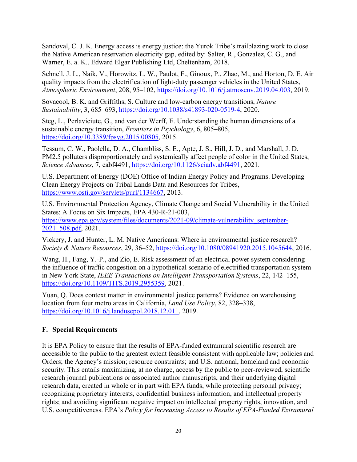Sandoval, C. J. K. Energy access is energy justice: the Yurok Tribe's trailblazing work to close the Native American reservation electricity gap, edited by: Salter, R., Gonzalez, C. G., and Warner, E. a. K., Edward Elgar Publishing Ltd, Cheltenham, 2018.

Schnell, J. L., Naik, V., Horowitz, L. W., Paulot, F., Ginoux, P., Zhao, M., and Horton, D. E. Air quality impacts from the electrification of light-duty passenger vehicles in the United States, *Atmospheric Environment*, 208, 95–102, [https://doi.org/10.1016/j.atmosenv.2019.04.003,](https://doi.org/10.1016/j.atmosenv.2019.04.003) 2019.

Sovacool, B. K. and Griffiths, S. Culture and low-carbon energy transitions, *Nature Sustainability*, 3, 685–693, [https://doi.org/10.1038/s41893-020-0519-4,](https://doi.org/10.1038/s41893-020-0519-4) 2020.

Steg, L., Perlaviciute, G., and van der Werff, E. Understanding the human dimensions of a sustainable energy transition, *Frontiers in Psychology*, 6, 805–805, [https://doi.org/10.3389/fpsyg.2015.00805,](https://doi.org/10.3389/fpsyg.2015.00805) 2015.

Tessum, C. W., Paolella, D. A., Chambliss, S. E., Apte, J. S., Hill, J. D., and Marshall, J. D. PM2.5 polluters disproportionately and systemically affect people of color in the United States, *Science Advances*, 7, eabf4491, [https://doi.org/10.1126/sciadv.abf4491,](https://doi.org/10.1126/sciadv.abf4491) 2021.

U.S. Department of Energy (DOE) Office of Indian Energy Policy and Programs. Developing Clean Energy Projects on Tribal Lands Data and Resources for Tribes, [https://www.osti.gov/servlets/purl/1134667,](https://www.osti.gov/servlets/purl/1134667) 2013.

U.S. Environmental Protection Agency, Climate Change and Social Vulnerability in the United States: A Focus on Six Impacts, EPA 430-R-21-003, [https://www.epa.gov/system/files/documents/2021-09/climate-vulnerability\\_september-](https://www.epa.gov/system/files/documents/2021-09/climate-vulnerability_september-2021_508.pdf)[2021\\_508.pdf,](https://www.epa.gov/system/files/documents/2021-09/climate-vulnerability_september-2021_508.pdf) 2021.

Vickery, J. and Hunter, L. M. Native Americans: Where in environmental justice research? *Society & Nature Resources*, 29, 36–52, [https://doi.org/10.1080/08941920.2015.1045644,](https://doi.org/10.1080/08941920.2015.1045644) 2016.

Wang, H., Fang, Y.-P., and Zio, E. Risk assessment of an electrical power system considering the influence of traffic congestion on a hypothetical scenario of electrified transportation system in New York State, *IEEE Transactions on Intelligent Transportation Systems*, 22, 142–155, [https://doi.org/10.1109/TITS.2019.2955359,](https://doi.org/10.1109/TITS.2019.2955359) 2021.

Yuan, Q. Does context matter in environmental justice patterns? Evidence on warehousing location from four metro areas in California, *Land Use Policy*, 82, 328–338, [https://doi.org/10.1016/j.landusepol.2018.12.011,](https://doi.org/10.1016/j.landusepol.2018.12.011) 2019.

# <span id="page-19-0"></span>**F. Special Requirements**

It is EPA Policy to ensure that the results of EPA-funded extramural scientific research are accessible to the public to the greatest extent feasible consistent with applicable law; policies and Orders; the Agency's mission; resource constraints; and U.S. national, homeland and economic security. This entails maximizing, at no charge, access by the public to peer-reviewed, scientific research journal publications or associated author manuscripts, and their underlying digital research data, created in whole or in part with EPA funds, while protecting personal privacy; recognizing proprietary interests, confidential business information, and intellectual property rights; and avoiding significant negative impact on intellectual property rights, innovation, and U.S. competitiveness. EPA's *Policy for Increasing Access to Results of EPA-Funded Extramural*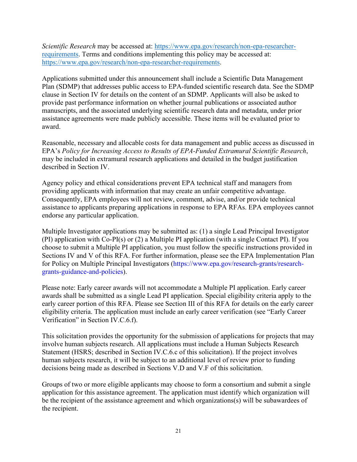*Scientific Research* may be accessed at: [https://www.epa.gov/research/non-epa-researcher](https://www.epa.gov/research/non-epa-researcher-requirements)[requirements.](https://www.epa.gov/research/non-epa-researcher-requirements) Terms and conditions implementing this policy may be accessed at: [https://www.epa.gov/research/non-epa-researcher-requirements.](https://www.epa.gov/research/non-epa-researcher-requirements)

Applications submitted under this announcement shall include a Scientific Data Management Plan (SDMP) that addresses public access to EPA-funded scientific research data. See the SDMP clause in Section IV for details on the content of an SDMP. Applicants will also be asked to provide past performance information on whether journal publications or associated author manuscripts, and the associated underlying scientific research data and metadata, under prior assistance agreements were made publicly accessible. These items will be evaluated prior to award.

Reasonable, necessary and allocable costs for data management and public access as discussed in EPA's *Policy for Increasing Access to Results of EPA-Funded Extramural Scientific Research*, may be included in extramural research applications and detailed in the budget justification described in Section IV.

Agency policy and ethical considerations prevent EPA technical staff and managers from providing applicants with information that may create an unfair competitive advantage. Consequently, EPA employees will not review, comment, advise, and/or provide technical assistance to applicants preparing applications in response to EPA RFAs. EPA employees cannot endorse any particular application.

Multiple Investigator applications may be submitted as: (1) a single Lead Principal Investigator (PI) application with Co-PI(s) or (2) a Multiple PI application (with a single Contact PI). If you choose to submit a Multiple PI application, you must follow the specific instructions provided in Sections IV and V of this RFA. For further information, please see the EPA Implementation Plan for Policy on Multiple Principal Investigators (https://www.epa.gov/research-grants/researchgrants-guidance-and-policies).

Please note: Early career awards will not accommodate a Multiple PI application. Early career awards shall be submitted as a single Lead PI application. Special eligibility criteria apply to the early career portion of this RFA. Please see Section III of this RFA for details on the early career eligibility criteria. The application must include an early career verification (see "Early Career Verification" in Section IV.C.6.f).

This solicitation provides the opportunity for the submission of applications for projects that may involve human subjects research. All applications must include a Human Subjects Research Statement (HSRS; described in Section IV.C.6.c of this solicitation). If the project involves human subjects research, it will be subject to an additional level of review prior to funding decisions being made as described in Sections V.D and V.F of this solicitation.

Groups of two or more eligible applicants may choose to form a consortium and submit a single application for this assistance agreement. The application must identify which organization will be the recipient of the assistance agreement and which organizations(s) will be subawardees of the recipient.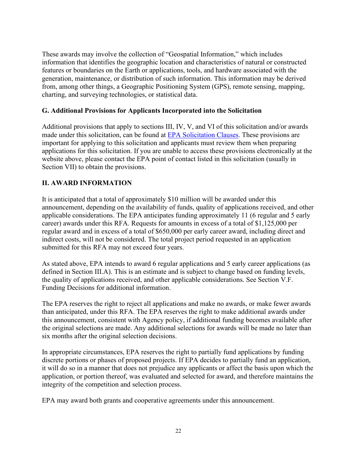These awards may involve the collection of "Geospatial Information," which includes information that identifies the geographic location and characteristics of natural or constructed features or boundaries on the Earth or applications, tools, and hardware associated with the generation, maintenance, or distribution of such information. This information may be derived from, among other things, a Geographic Positioning System (GPS), remote sensing, mapping, charting, and surveying technologies, or statistical data.

#### <span id="page-21-0"></span>**G. Additional Provisions for Applicants Incorporated into the Solicitation**

Additional provisions that apply to sections III, IV, V, and VI of this solicitation and/or awards made under this solicitation, can be found at [EPA Solicitation Clauses.](https://www.epa.gov/grants/epa-solicitation-clauses) These provisions are important for applying to this solicitation and applicants must review them when preparing applications for this solicitation. If you are unable to access these provisions electronically at the website above, please contact the EPA point of contact listed in this solicitation (usually in Section VII) to obtain the provisions.

#### <span id="page-21-1"></span>**II. AWARD INFORMATION**

It is anticipated that a total of approximately \$10 million will be awarded under this announcement, depending on the availability of funds, quality of applications received, and other applicable considerations. The EPA anticipates funding approximately 11 (6 regular and 5 early career) awards under this RFA. Requests for amounts in excess of a total of \$1,125,000 per regular award and in excess of a total of \$650,000 per early career award, including direct and indirect costs, will not be considered. The total project period requested in an application submitted for this RFA may not exceed four years.

As stated above, EPA intends to award 6 regular applications and 5 early career applications (as defined in Section III.A). This is an estimate and is subject to change based on funding levels, the quality of applications received, and other applicable considerations. See Section V.F. Funding Decisions for additional information.

The EPA reserves the right to reject all applications and make no awards, or make fewer awards than anticipated, under this RFA. The EPA reserves the right to make additional awards under this announcement, consistent with Agency policy, if additional funding becomes available after the original selections are made. Any additional selections for awards will be made no later than six months after the original selection decisions.

In appropriate circumstances, EPA reserves the right to partially fund applications by funding discrete portions or phases of proposed projects. If EPA decides to partially fund an application, it will do so in a manner that does not prejudice any applicants or affect the basis upon which the application, or portion thereof, was evaluated and selected for award, and therefore maintains the integrity of the competition and selection process.

EPA may award both grants and cooperative agreements under this announcement.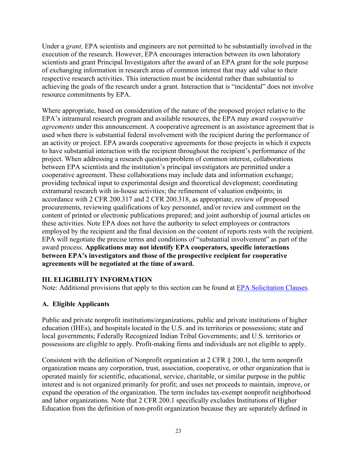Under a *grant,* EPA scientists and engineers are not permitted to be substantially involved in the execution of the research. However, EPA encourages interaction between its own laboratory scientists and grant Principal Investigators after the award of an EPA grant for the sole purpose of exchanging information in research areas of common interest that may add value to their respective research activities. This interaction must be incidental rather than substantial to achieving the goals of the research under a grant. Interaction that is "incidental" does not involve resource commitments by EPA.

Where appropriate, based on consideration of the nature of the proposed project relative to the EPA's intramural research program and available resources, the EPA may award *cooperative agreements* under this announcement. A cooperative agreement is an assistance agreement that is used when there is substantial federal involvement with the recipient during the performance of an activity or project. EPA awards cooperative agreements for those projects in which it expects to have substantial interaction with the recipient throughout the recipient's performance of the project. When addressing a research question/problem of common interest, collaborations between EPA scientists and the institution's principal investigators are permitted under a cooperative agreement. These collaborations may include data and information exchange; providing technical input to experimental design and theoretical development; coordinating extramural research with in-house activities; the refinement of valuation endpoints; in accordance with 2 CFR 200.317 and 2 CFR 200.318, as appropriate, review of proposed procurements, reviewing qualifications of key personnel, and/or review and comment on the content of printed or electronic publications prepared; and joint authorship of journal articles on these activities. Note EPA does not have the authority to select employees or contractors employed by the recipient and the final decision on the content of reports rests with the recipient. EPA will negotiate the precise terms and conditions of "substantial involvement" as part of the award process. **Applications may not identify EPA cooperators, specific interactions between EPA's investigators and those of the prospective recipient for cooperative agreements will be negotiated at the time of award.** 

#### <span id="page-22-0"></span>**III. ELIGIBILITY INFORMATION**

Note: Additional provisions that apply to this section can be found at [EPA Solicitation Clauses.](https://www.epa.gov/grants/epa-solicitation-clauses)

#### <span id="page-22-1"></span>**A. Eligible Applicants**

Public and private nonprofit institutions/organizations, public and private institutions of higher education (IHEs), and hospitals located in the U.S. and its territories or possessions; state and local governments; Federally Recognized Indian Tribal Governments; and U.S. territories or possessions are eligible to apply. Profit-making firms and individuals are not eligible to apply.

Consistent with the definition of Nonprofit organization at 2 CFR § 200.1, the term nonprofit organization means any corporation, trust, association, cooperative, or other organization that is operated mainly for scientific, educational, service, charitable, or similar purpose in the public interest and is not organized primarily for profit; and uses net proceeds to maintain, improve, or expand the operation of the organization. The term includes tax-exempt nonprofit neighborhood and labor organizations. Note that 2 CFR 200.1 specifically excludes Institutions of Higher Education from the definition of non-profit organization because they are separately defined in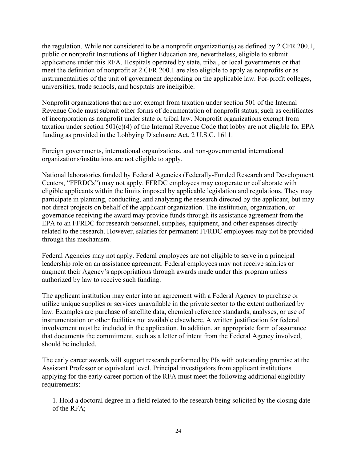the regulation. While not considered to be a nonprofit organization(s) as defined by 2 CFR 200.1, public or nonprofit Institutions of Higher Education are, nevertheless, eligible to submit applications under this RFA. Hospitals operated by state, tribal, or local governments or that meet the definition of nonprofit at 2 CFR 200.1 are also eligible to apply as nonprofits or as instrumentalities of the unit of government depending on the applicable law. For-profit colleges, universities, trade schools, and hospitals are ineligible.

Nonprofit organizations that are not exempt from taxation under section 501 of the Internal Revenue Code must submit other forms of documentation of nonprofit status; such as certificates of incorporation as nonprofit under state or tribal law. Nonprofit organizations exempt from taxation under section 501(c)(4) of the Internal Revenue Code that lobby are not eligible for EPA funding as provided in the Lobbying Disclosure Act, 2 U.S.C. 1611.

Foreign governments, international organizations, and non-governmental international organizations/institutions are not eligible to apply.

National laboratories funded by Federal Agencies (Federally-Funded Research and Development Centers, "FFRDCs") may not apply. FFRDC employees may cooperate or collaborate with eligible applicants within the limits imposed by applicable legislation and regulations. They may participate in planning, conducting, and analyzing the research directed by the applicant, but may not direct projects on behalf of the applicant organization. The institution, organization, or governance receiving the award may provide funds through its assistance agreement from the EPA to an FFRDC for research personnel, supplies, equipment, and other expenses directly related to the research. However, salaries for permanent FFRDC employees may not be provided through this mechanism.

Federal Agencies may not apply. Federal employees are not eligible to serve in a principal leadership role on an assistance agreement. Federal employees may not receive salaries or augment their Agency's appropriations through awards made under this program unless authorized by law to receive such funding.

The applicant institution may enter into an agreement with a Federal Agency to purchase or utilize unique supplies or services unavailable in the private sector to the extent authorized by law. Examples are purchase of satellite data, chemical reference standards, analyses, or use of instrumentation or other facilities not available elsewhere. A written justification for federal involvement must be included in the application. In addition, an appropriate form of assurance that documents the commitment, such as a letter of intent from the Federal Agency involved, should be included.

The early career awards will support research performed by PIs with outstanding promise at the Assistant Professor or equivalent level. Principal investigators from applicant institutions applying for the early career portion of the RFA must meet the following additional eligibility requirements:

1. Hold a doctoral degree in a field related to the research being solicited by the closing date of the RFA;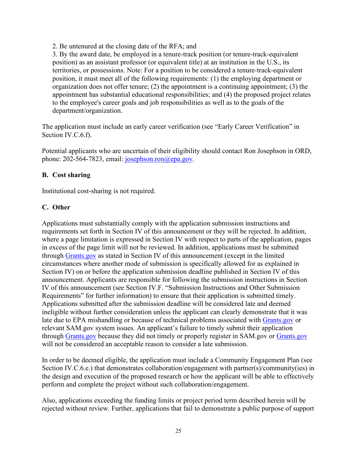2. Be untenured at the closing date of the RFA; and

3. By the award date, be employed in a tenure-track position (or tenure-track-equivalent position) as an assistant professor (or equivalent title) at an institution in the U.S., its territories, or possessions. Note: For a position to be considered a tenure-track-equivalent position, it must meet all of the following requirements: (1) the employing department or organization does not offer tenure; (2) the appointment is a continuing appointment; (3) the appointment has substantial educational responsibilities; and (4) the proposed project relates to the employee's career goals and job responsibilities as well as to the goals of the department/organization.

The application must include an early career verification (see "Early Career Verification" in Section IV.C.6.f).

Potential applicants who are uncertain of their eligibility should contact Ron Josephson in ORD, phone: 202-564-7823, email: [josephson.ron@epa.gov.](mailto:josephson.ron@epa.gov)

#### <span id="page-24-0"></span>**B. Cost sharing**

Institutional cost-sharing is not required.

## <span id="page-24-1"></span>**C. Other**

Applications must substantially comply with the application submission instructions and requirements set forth in Section IV of this announcement or they will be rejected. In addition, where a page limitation is expressed in Section IV with respect to parts of the application, pages in excess of the page limit will not be reviewed. In addition, applications must be submitted through [Grants.gov](https://www.grants.gov/) as stated in Section IV of this announcement (except in the limited circumstances where another mode of submission is specifically allowed for as explained in Section IV) on or before the application submission deadline published in Section IV of this announcement. Applicants are responsible for following the submission instructions in Section IV of this announcement (see Section IV.F. "Submission Instructions and Other Submission Requirements" for further information) to ensure that their application is submitted timely. Applications submitted after the submission deadline will be considered late and deemed ineligible without further consideration unless the applicant can clearly demonstrate that it was late due to EPA mishandling or because of technical problems associated with [Grants.gov](https://www.grants.gov/) or relevant [SAM.gov](http://www.sam.gov/) system issues. An applicant's failure to timely submit their application through [Grants.gov](https://www.grants.gov/) because they did not timely or properly register in [SAM.gov](http://www.sam.gov/) or [Grants.gov](https://www.grants.gov/) will not be considered an acceptable reason to consider a late submission.

In order to be deemed eligible, the application must include a Community Engagement Plan (see Section IV.C.6.e.) that demonstrates collaboration/engagement with partner(s)/community(ies) in the design and execution of the proposed research or how the applicant will be able to effectively perform and complete the project without such collaboration/engagement.

Also, applications exceeding the funding limits or project period term described herein will be rejected without review. Further, applications that fail to demonstrate a public purpose of support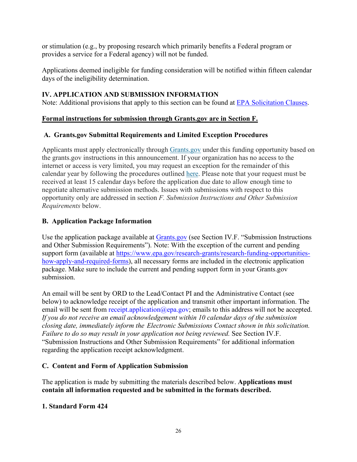or stimulation (e.g., by proposing research which primarily benefits a Federal program or provides a service for a Federal agency) will not be funded.

Applications deemed ineligible for funding consideration will be notified within fifteen calendar days of the ineligibility determination.

## <span id="page-25-0"></span>**IV. APPLICATION AND SUBMISSION INFORMATION**

Note: Additional provisions that apply to this section can be found at [EPA Solicitation Clauses.](https://www.epa.gov/grants/epa-solicitation-clauses)

## **Formal instructions for submission through Grants.gov are in Section F.**

## <span id="page-25-1"></span>**A. Grants.gov Submittal Requirements and Limited Exception Procedures**

Applicants must apply electronically through [Grants.gov](https://www.grants.gov/) under this funding opportunity based on the grants.gov instructions in this announcement. If your organization has no access to the internet or access is very limited, you may request an exception for the remainder of this calendar year by following the procedures outlined [here.](https://www.epa.gov/grants/exceptions-grantsgov-submission-requirement) Please note that your request must be received at least 15 calendar days before the application due date to allow enough time to negotiate alternative submission methods. Issues with submissions with respect to this opportunity only are addressed in section *F. Submission Instructions and Other Submission Requirements* below.

# <span id="page-25-2"></span>**B. Application Package Information**

Use the application package available at [Grants.gov](https://www.grants.gov/) (see Section IV.F. "Submission Instructions and Other Submission Requirements"). Note: With the exception of the current and pending support form (available at https://www.epa.gov/research-grants/research-funding-opportunitieshow-apply-and-required-forms), all necessary forms are included in the electronic application package. Make sure to include the current and pending support form in your Grants.gov submission.

An email will be sent by ORD to the Lead/Contact PI and the Administrative Contact (see below) to acknowledge receipt of the application and transmit other important information. The email will be sent from receipt.application  $\omega$ epa.gov; emails to this address will not be accepted. *If you do not receive an email acknowledgement within 10 calendar days of the submission closing date, immediately inform the Electronic Submissions Contact shown in this solicitation. Failure to do so may result in your application not being reviewed.* See Section IV.F. "Submission Instructions and Other Submission Requirements" for additional information regarding the application receipt acknowledgment.

# <span id="page-25-3"></span>**C. Content and Form of Application Submission**

The application is made by submitting the materials described below. **Applications must contain all information requested and be submitted in the formats described.**

#### **1. Standard Form 424**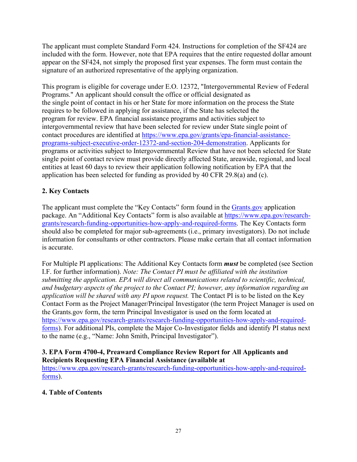The applicant must complete Standard Form 424. Instructions for completion of the SF424 are included with the form. However, note that EPA requires that the entire requested dollar amount appear on the SF424, not simply the proposed first year expenses. The form must contain the signature of an authorized representative of the applying organization.

This program is eligible for coverage under E.O. 12372, "Intergovernmental Review of Federal Programs." An applicant should consult the office or official designated as the single point of contact in his or her State for more information on the process the State requires to be followed in applying for assistance, if the State has selected the program for review. EPA financial assistance programs and activities subject to intergovernmental review that have been selected for review under State single point of contact procedures are identified at [https://www.epa.gov/grants/epa-financial-assistance](https://www.epa.gov/grants/epa-financial-assistance-programs-subject-executive-order-12372-and-section-204-demonstration)[programs-subject-executive-order-12372-and-section-204-demonstration.](https://www.epa.gov/grants/epa-financial-assistance-programs-subject-executive-order-12372-and-section-204-demonstration) Applicants for programs or activities subject to Intergovernmental Review that have not been selected for State single point of contact review must provide directly affected State, areawide, regional, and local entities at least 60 days to review their application following notification by EPA that the application has been selected for funding as provided by 40 CFR 29.8(a) and (c).

# **2. Key Contacts**

The applicant must complete the "Key Contacts" form found in the [Grants.gov](https://www.grants.gov/) application package. An "Additional Key Contacts" form is also available at https://www.epa.gov/researchgrants/research-funding-opportunities-how-apply-and-required-forms. The Key Contacts form should also be completed for major sub-agreements (i.e., primary investigators). Do not include information for consultants or other contractors. Please make certain that all contact information is accurate.

For Multiple PI applications: The Additional Key Contacts form *must* be completed (see Section I.F. for further information). *Note: The Contact PI must be affiliated with the institution submitting the application. EPA will direct all communications related to scientific, technical, and budgetary aspects of the project to the Contact PI; however, any information regarding an application will be shared with any PI upon request.* The Contact PI is to be listed on the Key Contact Form as the Project Manager/Principal Investigator (the term Project Manager is used on the Grants.gov form, the term Principal Investigator is used on the form located at https://www.epa.gov/research-grants/research-funding-opportunities-how-apply-and-requiredforms). For additional PIs, complete the Major Co-Investigator fields and identify PI status next to the name (e.g., "Name: John Smith, Principal Investigator").

#### **3. EPA Form 4700-4, Preaward Compliance Review Report for All Applicants and Recipients Requesting EPA Financial Assistance (available at**

[https://www.epa.gov/research-grants/research-funding-opportunities-how-apply-and-required](https://www.epa.gov/research-grants/research-funding-opportunities-how-apply-and-required-forms)[forms\)](https://www.epa.gov/research-grants/research-funding-opportunities-how-apply-and-required-forms).

# **4. Table of Contents**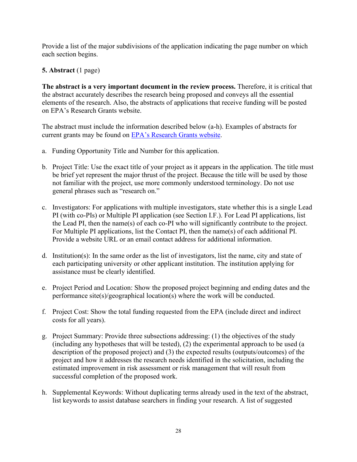Provide a list of the major subdivisions of the application indicating the page number on which each section begins.

## **5. Abstract** (1 page)

**The abstract is a very important document in the review process.** Therefore, it is critical that the abstract accurately describes the research being proposed and conveys all the essential elements of the research. Also, the abstracts of applications that receive funding will be posted on EPA's Research Grants website.

The abstract must include the information described below (a-h). Examples of abstracts for current grants may be found on [EPA's Research Grants website.](https://www.epa.gov/research-grants)

- a. Funding Opportunity Title and Number for this application.
- b. Project Title: Use the exact title of your project as it appears in the application. The title must be brief yet represent the major thrust of the project. Because the title will be used by those not familiar with the project, use more commonly understood terminology. Do not use general phrases such as "research on."
- c. Investigators: For applications with multiple investigators, state whether this is a single Lead PI (with co-PIs) or Multiple PI application (see Section I.F.). For Lead PI applications, list the Lead PI, then the name(s) of each co-PI who will significantly contribute to the project. For Multiple PI applications, list the Contact PI, then the name(s) of each additional PI. Provide a website URL or an email contact address for additional information.
- d. Institution(s): In the same order as the list of investigators, list the name, city and state of each participating university or other applicant institution. The institution applying for assistance must be clearly identified.
- e. Project Period and Location: Show the proposed project beginning and ending dates and the performance site(s)/geographical location(s) where the work will be conducted.
- f. Project Cost: Show the total funding requested from the EPA (include direct and indirect costs for all years).
- g. Project Summary: Provide three subsections addressing: (1) the objectives of the study (including any hypotheses that will be tested), (2) the experimental approach to be used (a description of the proposed project) and (3) the expected results (outputs/outcomes) of the project and how it addresses the research needs identified in the solicitation, including the estimated improvement in risk assessment or risk management that will result from successful completion of the proposed work.
- h. Supplemental Keywords: Without duplicating terms already used in the text of the abstract, list keywords to assist database searchers in finding your research. A list of suggested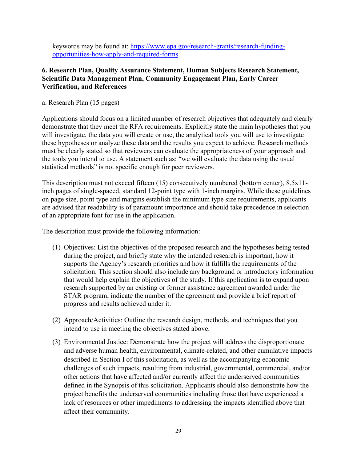keywords may be found at: [https://www.epa.gov/research-grants/research-funding](https://www.epa.gov/research-grants/research-funding-opportunities-how-apply-and-required-forms)[opportunities-how-apply-and-required-forms.](https://www.epa.gov/research-grants/research-funding-opportunities-how-apply-and-required-forms)

#### **6. Research Plan, Quality Assurance Statement, Human Subjects Research Statement, Scientific Data Management Plan, Community Engagement Plan, Early Career Verification, and References**

a. Research Plan (15 pages)

Applications should focus on a limited number of research objectives that adequately and clearly demonstrate that they meet the RFA requirements. Explicitly state the main hypotheses that you will investigate, the data you will create or use, the analytical tools you will use to investigate these hypotheses or analyze these data and the results you expect to achieve. Research methods must be clearly stated so that reviewers can evaluate the appropriateness of your approach and the tools you intend to use. A statement such as: "we will evaluate the data using the usual statistical methods" is not specific enough for peer reviewers.

This description must not exceed fifteen (15) consecutively numbered (bottom center), 8.5x11 inch pages of single-spaced, standard 12-point type with 1-inch margins. While these guidelines on page size, point type and margins establish the minimum type size requirements, applicants are advised that readability is of paramount importance and should take precedence in selection of an appropriate font for use in the application.

The description must provide the following information:

- (1) Objectives: List the objectives of the proposed research and the hypotheses being tested during the project, and briefly state why the intended research is important, how it supports the Agency's research priorities and how it fulfills the requirements of the solicitation. This section should also include any background or introductory information that would help explain the objectives of the study. If this application is to expand upon research supported by an existing or former assistance agreement awarded under the STAR program, indicate the number of the agreement and provide a brief report of progress and results achieved under it.
- (2) Approach/Activities: Outline the research design, methods, and techniques that you intend to use in meeting the objectives stated above.
- (3) Environmental Justice: Demonstrate how the project will address the disproportionate and adverse human health, environmental, climate-related, and other cumulative impacts described in Section I of this solicitation, as well as the accompanying economic challenges of such impacts, resulting from industrial, governmental, commercial, and/or other actions that have affected and/or currently affect the underserved communities defined in the Synopsis of this solicitation. Applicants should also demonstrate how the project benefits the underserved communities including those that have experienced a lack of resources or other impediments to addressing the impacts identified above that affect their community.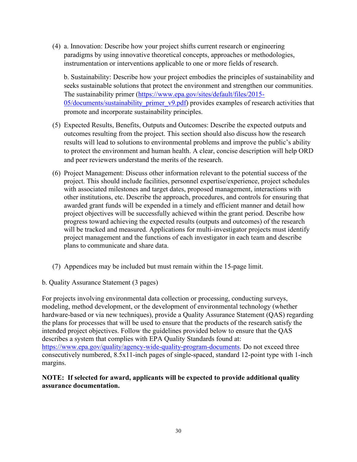(4) a. Innovation: Describe how your project shifts current research or engineering paradigms by using innovative theoretical concepts, approaches or methodologies, instrumentation or interventions applicable to one or more fields of research.

b. Sustainability: Describe how your project embodies the principles of sustainability and seeks sustainable solutions that protect the environment and strengthen our communities. The sustainability primer [\(https://www.epa.gov/sites/default/files/2015-](https://www.epa.gov/sites/default/files/2015-05/documents/sustainability_primer_v9.pdf) [05/documents/sustainability\\_primer\\_v9.pdf\)](https://www.epa.gov/sites/default/files/2015-05/documents/sustainability_primer_v9.pdf) provides examples of research activities that promote and incorporate sustainability principles.

- (5) Expected Results, Benefits, Outputs and Outcomes: Describe the expected outputs and outcomes resulting from the project. This section should also discuss how the research results will lead to solutions to environmental problems and improve the public's ability to protect the environment and human health. A clear, concise description will help ORD and peer reviewers understand the merits of the research.
- (6) Project Management: Discuss other information relevant to the potential success of the project. This should include facilities, personnel expertise/experience, project schedules with associated milestones and target dates, proposed management, interactions with other institutions, etc. Describe the approach, procedures, and controls for ensuring that awarded grant funds will be expended in a timely and efficient manner and detail how project objectives will be successfully achieved within the grant period. Describe how progress toward achieving the expected results (outputs and outcomes) of the research will be tracked and measured. Applications for multi-investigator projects must identify project management and the functions of each investigator in each team and describe plans to communicate and share data.
- (7) Appendices may be included but must remain within the 15-page limit.
- b. Quality Assurance Statement (3 pages)

For projects involving environmental data collection or processing, conducting surveys, modeling, method development, or the development of environmental technology (whether hardware-based or via new techniques), provide a Quality Assurance Statement (QAS) regarding the plans for processes that will be used to ensure that the products of the research satisfy the intended project objectives. Follow the guidelines provided below to ensure that the QAS describes a system that complies with EPA Quality Standards found at: [https://www.epa.gov/quality/agency-wide-quality-program-documents.](https://www.epa.gov/quality/agency-wide-quality-program-documents) Do not exceed three consecutively numbered, 8.5x11-inch pages of single-spaced, standard 12-point type with 1-inch margins.

#### **NOTE: If selected for award, applicants will be expected to provide additional quality assurance documentation.**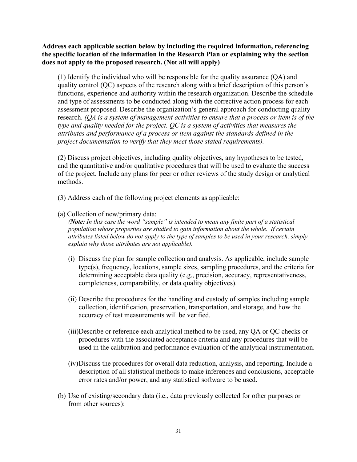**Address each applicable section below by including the required information, referencing the specific location of the information in the Research Plan or explaining why the section does not apply to the proposed research. (Not all will apply)**

(1) Identify the individual who will be responsible for the quality assurance (QA) and quality control (QC) aspects of the research along with a brief description of this person's functions, experience and authority within the research organization. Describe the schedule and type of assessments to be conducted along with the corrective action process for each assessment proposed. Describe the organization's general approach for conducting quality research. *(QA is a system of management activities to ensure that a process or item is of the type and quality needed for the project. QC is a system of activities that measures the attributes and performance of a process or item against the standards defined in the project documentation to verify that they meet those stated requirements).*

(2) Discuss project objectives, including quality objectives, any hypotheses to be tested, and the quantitative and/or qualitative procedures that will be used to evaluate the success of the project. Include any plans for peer or other reviews of the study design or analytical methods.

- (3) Address each of the following project elements as applicable:
- (a) Collection of new/primary data:

*(Note: In this case the word "sample" is intended to mean any finite part of a statistical population whose properties are studied to gain information about the whole. If certain attributes listed below do not apply to the type of samples to be used in your research, simply explain why those attributes are not applicable).*

- (i) Discuss the plan for sample collection and analysis. As applicable, include sample type(s), frequency, locations, sample sizes, sampling procedures, and the criteria for determining acceptable data quality (e.g., precision, accuracy, representativeness, completeness, comparability, or data quality objectives).
- (ii) Describe the procedures for the handling and custody of samples including sample collection, identification, preservation, transportation, and storage, and how the accuracy of test measurements will be verified.
- (iii)Describe or reference each analytical method to be used, any QA or QC checks or procedures with the associated acceptance criteria and any procedures that will be used in the calibration and performance evaluation of the analytical instrumentation.
- (iv)Discuss the procedures for overall data reduction, analysis, and reporting. Include a description of all statistical methods to make inferences and conclusions, acceptable error rates and/or power, and any statistical software to be used.
- (b) Use of existing/secondary data (i.e., data previously collected for other purposes or from other sources):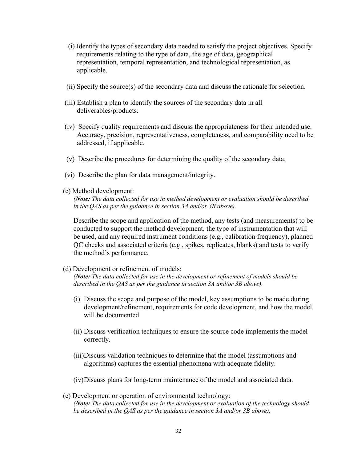- (i) Identify the types of secondary data needed to satisfy the project objectives. Specify requirements relating to the type of data, the age of data, geographical representation, temporal representation, and technological representation, as applicable.
- (ii) Specify the source(s) of the secondary data and discuss the rationale for selection.
- (iii) Establish a plan to identify the sources of the secondary data in all deliverables/products.
- (iv) Specify quality requirements and discuss the appropriateness for their intended use. Accuracy, precision, representativeness, completeness, and comparability need to be addressed, if applicable.
- (v) Describe the procedures for determining the quality of the secondary data.
- (vi) Describe the plan for data management/integrity.
- (c) Method development:

*(Note: The data collected for use in method development or evaluation should be described in the QAS as per the guidance in section 3A and/or 3B above).*

Describe the scope and application of the method, any tests (and measurements) to be conducted to support the method development, the type of instrumentation that will be used, and any required instrument conditions (e.g., calibration frequency), planned QC checks and associated criteria (e.g., spikes, replicates, blanks) and tests to verify the method's performance.

(d) Development or refinement of models:

*(Note: The data collected for use in the development or refinement of models should be described in the QAS as per the guidance in section 3A and/or 3B above).*

- (i) Discuss the scope and purpose of the model, key assumptions to be made during development/refinement, requirements for code development, and how the model will be documented.
- (ii) Discuss verification techniques to ensure the source code implements the model correctly.
- (iii)Discuss validation techniques to determine that the model (assumptions and algorithms) captures the essential phenomena with adequate fidelity.
- (iv)Discuss plans for long-term maintenance of the model and associated data.
- (e) Development or operation of environmental technology: *(Note: The data collected for use in the development or evaluation of the technology should be described in the QAS as per the guidance in section 3A and/or 3B above).*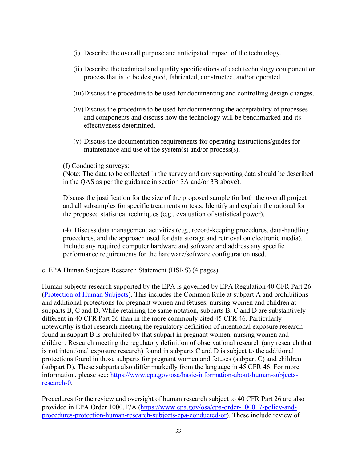- (i) Describe the overall purpose and anticipated impact of the technology.
- (ii) Describe the technical and quality specifications of each technology component or process that is to be designed, fabricated, constructed, and/or operated.
- (iii)Discuss the procedure to be used for documenting and controlling design changes.
- (iv)Discuss the procedure to be used for documenting the acceptability of processes and components and discuss how the technology will be benchmarked and its effectiveness determined.
- (v) Discuss the documentation requirements for operating instructions/guides for maintenance and use of the system(s) and/or process(s).

#### (f) Conducting surveys:

(Note: The data to be collected in the survey and any supporting data should be described in the QAS as per the guidance in section 3A and/or 3B above).

Discuss the justification for the size of the proposed sample for both the overall project and all subsamples for specific treatments or tests. Identify and explain the rational for the proposed statistical techniques (e.g., evaluation of statistical power).

(4) Discuss data management activities (e.g., record-keeping procedures, data-handling procedures, and the approach used for data storage and retrieval on electronic media). Include any required computer hardware and software and address any specific performance requirements for the hardware/software configuration used.

c. EPA Human Subjects Research Statement (HSRS) (4 pages)

Human subjects research supported by the EPA is governed by EPA Regulation 40 CFR Part 26 [\(Protection of Human Subjects\)](http://www.ecfr.gov/cgi-bin/text-idx?tpl=/ecfrbrowse/Title40/40cfr26_main_02.tpl). This includes the Common Rule at subpart A and prohibitions and additional protections for pregnant women and fetuses, nursing women and children at subparts B, C and D. While retaining the same notation, subparts B, C and D are substantively different in 40 CFR Part 26 than in the more commonly cited 45 CFR 46. Particularly noteworthy is that research meeting the regulatory definition of intentional exposure research found in subpart B is prohibited by that subpart in pregnant women, nursing women and children. Research meeting the regulatory definition of observational research (any research that is not intentional exposure research) found in subparts C and D is subject to the additional protections found in those subparts for pregnant women and fetuses (subpart C) and children (subpart D). These subparts also differ markedly from the language in 45 CFR 46. For more information, please see: [https://www.epa.gov/osa/basic-information-about-human-subjects](https://www.epa.gov/osa/basic-information-about-human-subjects-research-0)[research-0.](https://www.epa.gov/osa/basic-information-about-human-subjects-research-0)

Procedures for the review and oversight of human research subject to 40 CFR Part 26 are also provided in EPA Order 1000.17A [\(https://www.epa.gov/osa/epa-order-100017-policy-and](https://www.epa.gov/osa/epa-order-100017-policy-and-procedures-protection-human-research-subjects-epa-conducted-or)[procedures-protection-human-research-subjects-epa-conducted-or\)](https://www.epa.gov/osa/epa-order-100017-policy-and-procedures-protection-human-research-subjects-epa-conducted-or). These include review of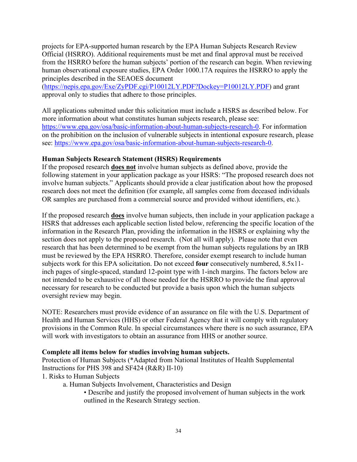projects for EPA-supported human research by the EPA Human Subjects Research Review Official (HSRRO). Additional requirements must be met and final approval must be received from the HSRRO before the human subjects' portion of the research can begin. When reviewing human observational exposure studies, EPA Order 1000.17A requires the HSRRO to apply the principles described in the SEAOES document

[\(https://nepis.epa.gov/Exe/ZyPDF.cgi/P10012LY.PDF?Dockey=P10012LY.PDF\)](https://nepis.epa.gov/Exe/ZyPDF.cgi/P10012LY.PDF?Dockey=P10012LY.PDF) and grant approval only to studies that adhere to those principles.

All applications submitted under this solicitation must include a HSRS as described below. For more information about what constitutes human subjects research, please see: [https://www.epa.gov/osa/basic-information-about-human-subjects-research-0.](https://www.epa.gov/osa/basic-information-about-human-subjects-research-0) For information on the prohibition on the inclusion of vulnerable subjects in intentional exposure research, please see: [https://www.epa.gov/osa/basic-information-about-human-subjects-research-0.](https://www.epa.gov/osa/basic-information-about-human-subjects-research-0)

#### **Human Subjects Research Statement (HSRS) Requirements**

If the proposed research **does not** involve human subjects as defined above, provide the following statement in your application package as your HSRS: "The proposed research does not involve human subjects." Applicants should provide a clear justification about how the proposed research does not meet the definition (for example, all samples come from deceased individuals OR samples are purchased from a commercial source and provided without identifiers, etc.).

If the proposed research **does** involve human subjects, then include in your application package a HSRS that addresses each applicable section listed below, referencing the specific location of the information in the Research Plan, providing the information in the HSRS or explaining why the section does not apply to the proposed research. (Not all will apply). Please note that even research that has been determined to be exempt from the human subjects regulations by an IRB must be reviewed by the EPA HSRRO. Therefore, consider exempt research to include human subjects work for this EPA solicitation. Do not exceed **four** consecutively numbered, 8.5x11 inch pages of single-spaced, standard 12-point type with 1-inch margins. The factors below are not intended to be exhaustive of all those needed for the HSRRO to provide the final approval necessary for research to be conducted but provide a basis upon which the human subjects oversight review may begin.

NOTE: Researchers must provide evidence of an assurance on file with the U.S. Department of Health and Human Services (HHS) or other Federal Agency that it will comply with regulatory provisions in the Common Rule. In special circumstances where there is no such assurance, EPA will work with investigators to obtain an assurance from HHS or another source.

#### **Complete all items below for studies involving human subjects.**

Protection of Human Subjects (\*Adapted from National Institutes of Health Supplemental Instructions for PHS 398 and SF424 (R&R) II-10)

1. Risks to Human Subjects

a. Human Subjects Involvement, Characteristics and Design

• Describe and justify the proposed involvement of human subjects in the work outlined in the Research Strategy section.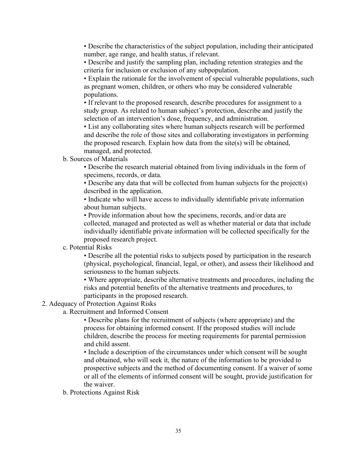• Describe the characteristics of the subject population, including their anticipated number, age range, and health status, if relevant.

• Describe and justify the sampling plan, including retention strategies and the criteria for inclusion or exclusion of any subpopulation.

• Explain the rationale for the involvement of special vulnerable populations, such as pregnant women, children, or others who may be considered vulnerable populations.

• If relevant to the proposed research, describe procedures for assignment to a study group. As related to human subject's protection, describe and justify the selection of an intervention's dose, frequency, and administration.

• List any collaborating sites where human subjects research will be performed and describe the role of those sites and collaborating investigators in performing the proposed research. Explain how data from the site(s) will be obtained, managed, and protected.

b. Sources of Materials

• Describe the research material obtained from living individuals in the form of specimens, records, or data.

• Describe any data that will be collected from human subjects for the project(s) described in the application.

• Indicate who will have access to individually identifiable private information about human subjects.

• Provide information about how the specimens, records, and/or data are collected, managed and protected as well as whether material or data that include individually identifiable private information will be collected specifically for the proposed research project.

c. Potential Risks

• Describe all the potential risks to subjects posed by participation in the research (physical, psychological, financial, legal, or other), and assess their likelihood and seriousness to the human subjects.

• Where appropriate, describe alternative treatments and procedures, including the risks and potential benefits of the alternative treatments and procedures, to participants in the proposed research.

#### 2. Adequacy of Protection Against Risks

a. Recruitment and Informed Consent

• Describe plans for the recruitment of subjects (where appropriate) and the process for obtaining informed consent. If the proposed studies will include children, describe the process for meeting requirements for parental permission and child assent.

• Include a description of the circumstances under which consent will be sought and obtained, who will seek it, the nature of the information to be provided to prospective subjects and the method of documenting consent. If a waiver of some or all of the elements of informed consent will be sought, provide justification for the waiver.

b. Protections Against Risk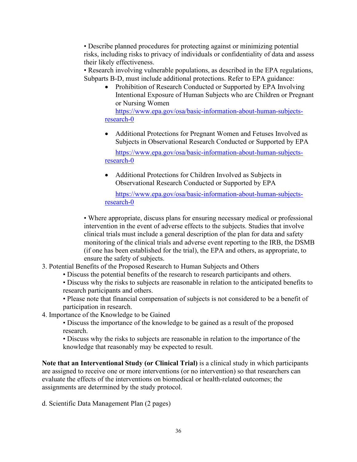• Describe planned procedures for protecting against or minimizing potential risks, including risks to privacy of individuals or confidentiality of data and assess their likely effectiveness.

• Research involving vulnerable populations, as described in the EPA regulations, Subparts B-D, must include additional protections. Refer to EPA guidance:

• Prohibition of Research Conducted or Supported by EPA Involving Intentional Exposure of Human Subjects who are Children or Pregnant or Nursing Women

[https://www.epa.gov/osa/basic-information-about-human-subjects](https://www.epa.gov/osa/basic-information-about-human-subjects-research-0)[research-0](https://www.epa.gov/osa/basic-information-about-human-subjects-research-0)

• Additional Protections for Pregnant Women and Fetuses Involved as Subjects in Observational Research Conducted or Supported by EPA

[https://www.epa.gov/osa/basic-information-about-human-subjects](https://www.epa.gov/osa/basic-information-about-human-subjects-research-0)[research-0](https://www.epa.gov/osa/basic-information-about-human-subjects-research-0)

• Additional Protections for Children Involved as Subjects in Observational Research Conducted or Supported by EPA

[https://www.epa.gov/osa/basic-information-about-human-subjects](https://www.epa.gov/osa/basic-information-about-human-subjects-research-0)[research-0](https://www.epa.gov/osa/basic-information-about-human-subjects-research-0)

• Where appropriate, discuss plans for ensuring necessary medical or professional intervention in the event of adverse effects to the subjects. Studies that involve clinical trials must include a general description of the plan for data and safety monitoring of the clinical trials and adverse event reporting to the IRB, the DSMB (if one has been established for the trial), the EPA and others, as appropriate, to ensure the safety of subjects.

- 3. Potential Benefits of the Proposed Research to Human Subjects and Others
	- Discuss the potential benefits of the research to research participants and others.
		- Discuss why the risks to subjects are reasonable in relation to the anticipated benefits to research participants and others.
	- Please note that financial compensation of subjects is not considered to be a benefit of participation in research.
- 4. Importance of the Knowledge to be Gained
	- Discuss the importance of the knowledge to be gained as a result of the proposed research.
	- Discuss why the risks to subjects are reasonable in relation to the importance of the knowledge that reasonably may be expected to result.

**Note that an Interventional Study (or Clinical Trial)** is a clinical study in which participants are assigned to receive one or more interventions (or no intervention) so that researchers can evaluate the effects of the interventions on biomedical or health-related outcomes; the assignments are determined by the study protocol.

d. Scientific Data Management Plan (2 pages)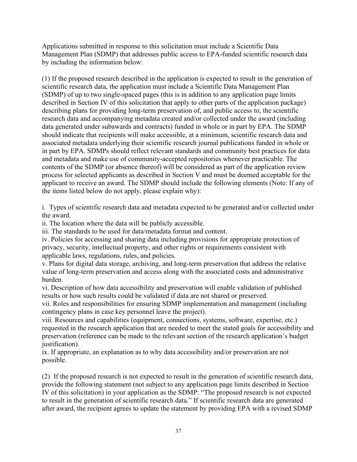Applications submitted in response to this solicitation must include a Scientific Data Management Plan (SDMP) that addresses public access to EPA-funded scientific research data by including the information below:

(1) If the proposed research described in the application is expected to result in the generation of scientific research data, the application must include a Scientific Data Management Plan (SDMP) of up to two single-spaced pages (this is in addition to any application page limits described in Section IV of this solicitation that apply to other parts of the application package) describing plans for providing long-term preservation of, and public access to, the scientific research data and accompanying metadata created and/or collected under the award (including data generated under subawards and contracts) funded in whole or in part by EPA. The SDMP should indicate that recipients will make accessible, at a minimum, scientific research data and associated metadata underlying their scientific research journal publications funded in whole or in part by EPA. SDMPs should reflect relevant standards and community best practices for data and metadata and make use of community-accepted repositories whenever practicable. The contents of the SDMP (or absence thereof) will be considered as part of the application review process for selected applicants as described in Section V and must be deemed acceptable for the applicant to receive an award. The SDMP should include the following elements (Note: If any of the items listed below do not apply, please explain why):

i. Types of scientific research data and metadata expected to be generated and/or collected under the award.

ii. The location where the data will be publicly accessible.

iii. The standards to be used for data/metadata format and content.

iv. Policies for accessing and sharing data including provisions for appropriate protection of privacy, security, intellectual property, and other rights or requirements consistent with applicable laws, regulations, rules, and policies.

v. Plans for digital data storage, archiving, and long-term preservation that address the relative value of long-term preservation and access along with the associated costs and administrative burden.

vi. Description of how data accessibility and preservation will enable validation of published results or how such results could be validated if data are not shared or preserved.

vii. Roles and responsibilities for ensuring SDMP implementation and management (including contingency plans in case key personnel leave the project).

viii. Resources and capabilities (equipment, connections, systems, software, expertise, etc.) requested in the research application that are needed to meet the stated goals for accessibility and preservation (reference can be made to the relevant section of the research application's budget justification).

ix. If appropriate, an explanation as to why data accessibility and/or preservation are not possible.

(2) If the proposed research is not expected to result in the generation of scientific research data, provide the following statement (not subject to any application page limits described in Section IV of this solicitation) in your application as the SDMP: "The proposed research is not expected to result in the generation of scientific research data." If scientific research data are generated after award, the recipient agrees to update the statement by providing EPA with a revised SDMP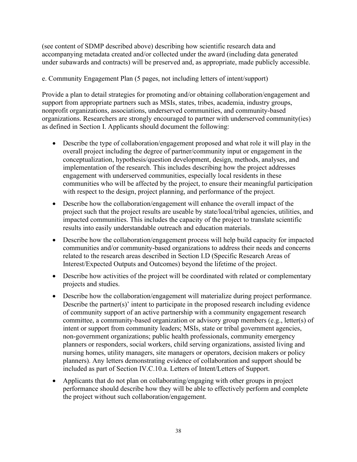(see content of SDMP described above) describing how scientific research data and accompanying metadata created and/or collected under the award (including data generated under subawards and contracts) will be preserved and, as appropriate, made publicly accessible.

e. Community Engagement Plan (5 pages, not including letters of intent/support)

Provide a plan to detail strategies for promoting and/or obtaining collaboration/engagement and support from appropriate partners such as MSIs, states, tribes, academia, industry groups, nonprofit organizations, associations, underserved communities, and community-based organizations. Researchers are strongly encouraged to partner with underserved community(ies) as defined in Section I. Applicants should document the following:

- Describe the type of collaboration/engagement proposed and what role it will play in the overall project including the degree of partner/community input or engagement in the conceptualization, hypothesis/question development, design, methods, analyses, and implementation of the research. This includes describing how the project addresses engagement with underserved communities, especially local residents in these communities who will be affected by the project, to ensure their meaningful participation with respect to the design, project planning, and performance of the project.
- Describe how the collaboration/engagement will enhance the overall impact of the project such that the project results are useable by state/local/tribal agencies, utilities, and impacted communities. This includes the capacity of the project to translate scientific results into easily understandable outreach and education materials.
- Describe how the collaboration/engagement process will help build capacity for impacted communities and/or community-based organizations to address their needs and concerns related to the research areas described in Section I.D (Specific Research Areas of Interest/Expected Outputs and Outcomes) beyond the lifetime of the project.
- Describe how activities of the project will be coordinated with related or complementary projects and studies.
- Describe how the collaboration/engagement will materialize during project performance. Describe the partner(s)' intent to participate in the proposed research including evidence of community support of an active partnership with a community engagement research committee, a community-based organization or advisory group members (e.g., letter(s) of intent or support from community leaders; MSIs, state or tribal government agencies, non-government organizations; public health professionals, community emergency planners or responders, social workers, child serving organizations, assisted living and nursing homes, utility managers, site managers or operators, decision makers or policy planners). Any letters demonstrating evidence of collaboration and support should be included as part of Section IV.C.10.a. Letters of Intent/Letters of Support.
- Applicants that do not plan on collaborating/engaging with other groups in project performance should describe how they will be able to effectively perform and complete the project without such collaboration/engagement.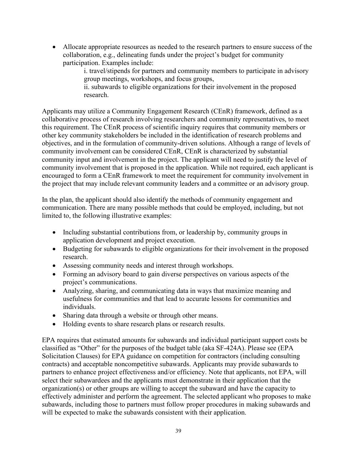• Allocate appropriate resources as needed to the research partners to ensure success of the collaboration, e.g., delineating funds under the project's budget for community participation. Examples include:

> i. travel/stipends for partners and community members to participate in advisory group meetings, workshops, and focus groups,

ii. subawards to eligible organizations for their involvement in the proposed research.

Applicants may utilize a Community Engagement Research (CEnR) framework, defined as a collaborative process of research involving researchers and community representatives, to meet this requirement. The CEnR process of scientific inquiry requires that community members or other key community stakeholders be included in the identification of research problems and objectives, and in the formulation of community-driven solutions. Although a range of levels of community involvement can be considered CEnR, CEnR is characterized by substantial community input and involvement in the project. The applicant will need to justify the level of community involvement that is proposed in the application. While not required, each applicant is encouraged to form a CEnR framework to meet the requirement for community involvement in the project that may include relevant community leaders and a committee or an advisory group.

In the plan, the applicant should also identify the methods of community engagement and communication. There are many possible methods that could be employed, including, but not limited to, the following illustrative examples:

- Including substantial contributions from, or leadership by, community groups in application development and project execution.
- Budgeting for subawards to eligible organizations for their involvement in the proposed research.
- Assessing community needs and interest through workshops.
- Forming an advisory board to gain diverse perspectives on various aspects of the project's communications.
- Analyzing, sharing, and communicating data in ways that maximize meaning and usefulness for communities and that lead to accurate lessons for communities and individuals.
- Sharing data through a website or through other means.
- Holding events to share research plans or research results.

EPA requires that estimated amounts for subawards and individual participant support costs be classified as "Other" for the purposes of the budget table (aka SF-424A). Please see (EPA Solicitation Clauses) for EPA guidance on competition for contractors (including consulting contracts) and acceptable noncompetitive subawards. Applicants may provide subawards to partners to enhance project effectiveness and/or efficiency. Note that applicants, not EPA, will select their subawardees and the applicants must demonstrate in their application that the organization(s) or other groups are willing to accept the subaward and have the capacity to effectively administer and perform the agreement. The selected applicant who proposes to make subawards, including those to partners must follow proper procedures in making subawards and will be expected to make the subawards consistent with their application.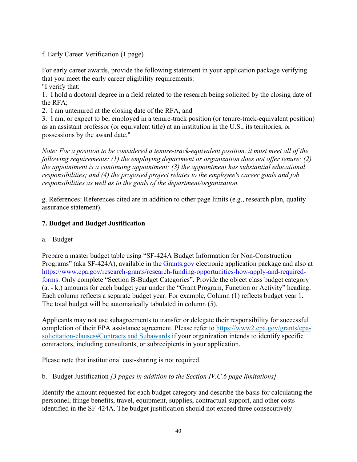f. Early Career Verification (1 page)

For early career awards, provide the following statement in your application package verifying that you meet the early career eligibility requirements: "I verify that:

1. I hold a doctoral degree in a field related to the research being solicited by the closing date of the RFA;

2. I am untenured at the closing date of the RFA, and

3. I am, or expect to be, employed in a tenure-track position (or tenure-track-equivalent position) as an assistant professor (or equivalent title) at an institution in the U.S., its territories, or possessions by the award date."

*Note: For a position to be considered a tenure-track-equivalent position, it must meet all of the following requirements: (1) the employing department or organization does not offer tenure; (2) the appointment is a continuing appointment; (3) the appointment has substantial educational responsibilities; and (4) the proposed project relates to the employee's career goals and job responsibilities as well as to the goals of the department/organization.*

g. References: References cited are in addition to other page limits (e.g., research plan, quality assurance statement).

# **7. Budget and Budget Justification**

a. Budget

Prepare a master budget table using "SF-424A Budget Information for Non-Construction Programs" (aka SF-424A), available in the [Grants.gov](https://www.grants.gov/) electronic application package and also at [https://www.epa.gov/research-grants/research-funding-opportunities-how-apply-and-required](https://www.epa.gov/research-grants/research-funding-opportunities-how-apply-and-required-forms)[forms.](https://www.epa.gov/research-grants/research-funding-opportunities-how-apply-and-required-forms) Only complete "Section B-Budget Categories". Provide the object class budget category (a. - k.) amounts for each budget year under the "Grant Program, Function or Activity" heading. Each column reflects a separate budget year. For example, Column (1) reflects budget year 1. The total budget will be automatically tabulated in column (5).

Applicants may not use subagreements to transfer or delegate their responsibility for successful completion of their EPA assistance agreement. Please refer to https://www2.epa.gov/grants/epasolicitation-clauses#Contracts and Subawards if your organization intends to identify specific contractors, including consultants, or subrecipients in your application.

Please note that institutional cost-sharing is not required.

b. Budget Justification *[3 pages in addition to the Section IV.C.6 page limitations]*

Identify the amount requested for each budget category and describe the basis for calculating the personnel, fringe benefits, travel, equipment, supplies, contractual support, and other costs identified in the SF-424A. The budget justification should not exceed three consecutively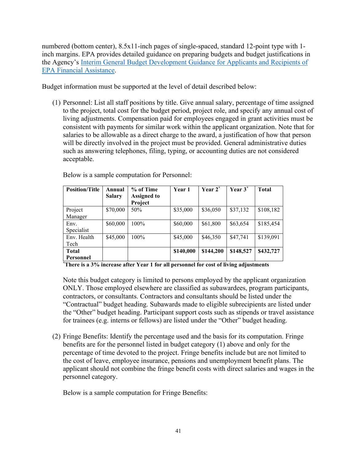numbered (bottom center), 8.5x11-inch pages of single-spaced, standard 12-point type with 1 inch margins. EPA provides detailed guidance on preparing budgets and budget justifications in the Agency's [Interim General Budget Development Guidance for Applicants and Recipients of](https://www.epa.gov/sites/production/files/2019-05/documents/applicant-budget-development-guidance.pdf)  [EPA Financial Assistance.](https://www.epa.gov/sites/production/files/2019-05/documents/applicant-budget-development-guidance.pdf)

Budget information must be supported at the level of detail described below:

(1) Personnel: List all staff positions by title. Give annual salary, percentage of time assigned to the project, total cost for the budget period, project role, and specify any annual cost of living adjustments. Compensation paid for employees engaged in grant activities must be consistent with payments for similar work within the applicant organization. Note that for salaries to be allowable as a direct charge to the award, a justification of how that person will be directly involved in the project must be provided. General administrative duties such as answering telephones, filing, typing, or accounting duties are not considered acceptable.

| <b>Position/Title</b> | Annual<br><b>Salary</b> | % of Time<br>Assigned to<br>Project | <b>Year 1</b> | Year 2 <sup>*</sup> | Year 3 <sup>*</sup> | <b>Total</b> |
|-----------------------|-------------------------|-------------------------------------|---------------|---------------------|---------------------|--------------|
| Project               | \$70,000                | 50%                                 | \$35,000      | \$36,050            | \$37,132            | \$108,182    |
| Manager               |                         |                                     |               |                     |                     |              |
| Env.                  | \$60,000                | 100%                                | \$60,000      | \$61,800            | \$63,654            | \$185,454    |
| Specialist            |                         |                                     |               |                     |                     |              |
| Env. Health           | \$45,000                | $100\%$                             | \$45,000      | \$46,350            | \$47,741            | \$139,091    |
| Tech                  |                         |                                     |               |                     |                     |              |
| <b>Total</b>          |                         |                                     | \$140,000     | \$144,200           | \$148,527           | \$432,727    |
| Personnel             |                         |                                     |               |                     |                     |              |

Below is a sample computation for Personnel:

**\* There is a 3% increase after Year 1 for all personnel for cost of living adjustments** 

Note this budget category is limited to persons employed by the applicant organization ONLY. Those employed elsewhere are classified as subawardees, program participants, contractors, or consultants. Contractors and consultants should be listed under the "Contractual" budget heading. Subawards made to eligible subrecipients are listed under the "Other" budget heading. Participant support costs such as stipends or travel assistance for trainees (e.g. interns or fellows) are listed under the "Other" budget heading.

(2) Fringe Benefits: Identify the percentage used and the basis for its computation. Fringe benefits are for the personnel listed in budget category (1) above and only for the percentage of time devoted to the project. Fringe benefits include but are not limited to the cost of leave, employee insurance, pensions and unemployment benefit plans. The applicant should not combine the fringe benefit costs with direct salaries and wages in the personnel category.

Below is a sample computation for Fringe Benefits: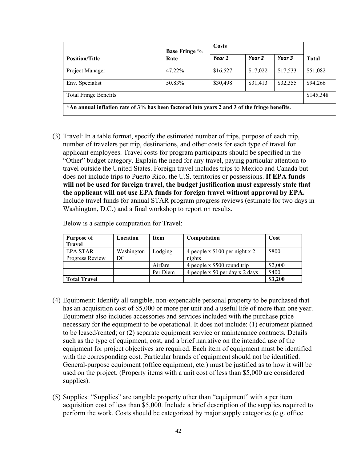|                                                                                              | <b>Base Fringe %</b> | Costs    |          |          |              |  |
|----------------------------------------------------------------------------------------------|----------------------|----------|----------|----------|--------------|--|
| <b>Position/Title</b>                                                                        | Rate                 | Year 1   | Year 2   | Year 3   | <b>Total</b> |  |
| Project Manager                                                                              | 47.22%               | \$16,527 | \$17,022 | \$17,533 | \$51,082     |  |
| Env. Specialist                                                                              | 50.83%               | \$30,498 | \$31,413 | \$32,355 | \$94,266     |  |
| <b>Total Fringe Benefits</b>                                                                 |                      |          |          |          |              |  |
| *An annual inflation rate of 3% has been factored into years 2 and 3 of the fringe benefits. |                      |          |          |          |              |  |

(3) Travel: In a table format, specify the estimated number of trips, purpose of each trip, number of travelers per trip, destinations, and other costs for each type of travel for applicant employees. Travel costs for program participants should be specified in the "Other" budget category. Explain the need for any travel, paying particular attention to travel outside the United States. Foreign travel includes trips to Mexico and Canada but does not include trips to Puerto Rico, the U.S. territories or possessions. **If EPA funds will not be used for foreign travel, the budget justification must expressly state that the applicant will not use EPA funds for foreign travel without approval by EPA.** Include travel funds for annual STAR program progress reviews (estimate for two days in Washington, D.C.) and a final workshop to report on results.

| <b>Purpose of</b><br><b>Travel</b> | Location         | <b>Item</b> | Computation                               | Cost    |
|------------------------------------|------------------|-------------|-------------------------------------------|---------|
| <b>EPA STAR</b><br>Progress Review | Washington<br>DC | Lodging     | 4 people x $$100$ per night x 2<br>nights | \$800   |
|                                    |                  | Airfare     | 4 people x \$500 round trip               | \$2,000 |
|                                    |                  | Per Diem    | 4 people x 50 per day x 2 days            | \$400   |
| <b>Total Travel</b>                |                  |             |                                           | \$3,200 |

Below is a sample computation for Travel:

- (4) Equipment: Identify all tangible, non-expendable personal property to be purchased that has an acquisition cost of \$5,000 or more per unit and a useful life of more than one year. Equipment also includes accessories and services included with the purchase price necessary for the equipment to be operational. It does not include: (1) equipment planned to be leased/rented; or (2) separate equipment service or maintenance contracts. Details such as the type of equipment, cost, and a brief narrative on the intended use of the equipment for project objectives are required. Each item of equipment must be identified with the corresponding cost. Particular brands of equipment should not be identified. General-purpose equipment (office equipment, etc.) must be justified as to how it will be used on the project. (Property items with a unit cost of less than \$5,000 are considered supplies).
- (5) Supplies: "Supplies" are tangible property other than "equipment" with a per item acquisition cost of less than \$5,000. Include a brief description of the supplies required to perform the work. Costs should be categorized by major supply categories (e.g. office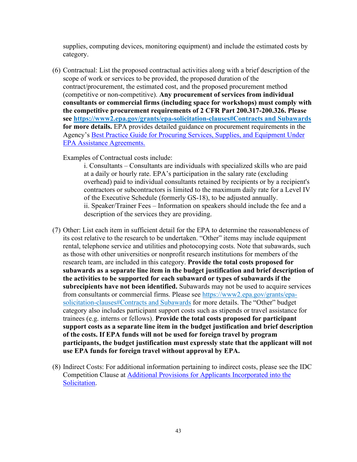supplies, computing devices, monitoring equipment) and include the estimated costs by category.

(6) Contractual: List the proposed contractual activities along with a brief description of the scope of work or services to be provided, the proposed duration of the contract/procurement, the estimated cost, and the proposed procurement method (competitive or non-competitive). **Any procurement of services from individual consultants or commercial firms (including space for workshops) must comply with the competitive procurement requirements of 2 CFR Part 200.317-200.326. Please see https://www2.epa.gov/grants/epa-solicitation-clauses#Contracts and Subawards for more details.** EPA provides detailed guidance on procurement requirements in the Agency's [Best Practice Guide for Procuring Services, Supplies, and Equipment Under](https://www.epa.gov/grants/best-practice-guide-procuring-services-supplies-and-equipment-under-epa-assistance-agreements)  [EPA Assistance Agreements.](https://www.epa.gov/grants/best-practice-guide-procuring-services-supplies-and-equipment-under-epa-assistance-agreements)

Examples of Contractual costs include:

i. Consultants – Consultants are individuals with specialized skills who are paid at a daily or hourly rate. EPA's participation in the salary rate (excluding overhead) paid to individual consultants retained by recipients or by a recipient's contractors or subcontractors is limited to the maximum daily rate for a Level IV of the Executive Schedule (formerly GS-18), to be adjusted annually. ii. Speaker/Trainer Fees – Information on speakers should include the fee and a description of the services they are providing.

- (7) Other: List each item in sufficient detail for the EPA to determine the reasonableness of its cost relative to the research to be undertaken. "Other" items may include equipment rental, telephone service and utilities and photocopying costs. Note that subawards, such as those with other universities or nonprofit research institutions for members of the research team, are included in this category. **Provide the total costs proposed for subawards as a separate line item in the budget justification and brief description of the activities to be supported for each subaward or types of subawards if the subrecipients have not been identified.** Subawards may not be used to acquire services from consultants or commercial firms. Please see https://www2.epa.gov/grants/epasolicitation-clauses#Contracts and Subawards for more details. The "Other" budget category also includes participant support costs such as stipends or travel assistance for trainees (e.g. interns or fellows). **Provide the total costs proposed for participant support costs as a separate line item in the budget justification and brief description of the costs. If EPA funds will not be used for foreign travel by program participants, the budget justification must expressly state that the applicant will not use EPA funds for foreign travel without approval by EPA.**
- (8) Indirect Costs: For additional information pertaining to indirect costs, please see the IDC Competition Clause at [Additional Provisions for Applicants Incorporated into the](https://www2.epa.gov/grants/epa-solicitation-clauses)  [Solicitation.](https://www2.epa.gov/grants/epa-solicitation-clauses)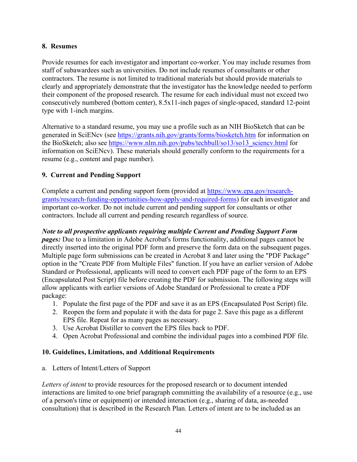#### **8. Resumes**

Provide resumes for each investigator and important co-worker. You may include resumes from staff of subawardees such as universities. Do not include resumes of consultants or other contractors. The resume is not limited to traditional materials but should provide materials to clearly and appropriately demonstrate that the investigator has the knowledge needed to perform their component of the proposed research. The resume for each individual must not exceed two consecutively numbered (bottom center), 8.5x11-inch pages of single-spaced, standard 12-point type with 1-inch margins.

Alternative to a standard resume, you may use a profile such as an NIH BioSketch that can be generated in SciENcv (see https://grants.nih.gov/grants/forms/biosketch.htm for information on the BioSketch; also see [https://www.nlm.nih.gov/pubs/techbull/so13/so13\\_sciencv.html](http://www.nlm.nih.gov/pubs/techbull/so13/so13_sciencv.html) for information on SciENcv). These materials should generally conform to the requirements for a resume (e.g., content and page number).

## **9. Current and Pending Support**

Complete a current and pending support form (provided at [https://www.epa.gov/research](https://www.epa.gov/research-grants/research-funding-opportunities-how-apply-and-required-forms)[grants/research-funding-opportunities-how-apply-and-required-forms\)](https://www.epa.gov/research-grants/research-funding-opportunities-how-apply-and-required-forms) for each investigator and important co-worker. Do not include current and pending support for consultants or other contractors. Include all current and pending research regardless of source.

*Note to all prospective applicants requiring multiple Current and Pending Support Form pages:* Due to a limitation in Adobe Acrobat's forms functionality, additional pages cannot be directly inserted into the original PDF form and preserve the form data on the subsequent pages. Multiple page form submissions can be created in Acrobat 8 and later using the "PDF Package" option in the "Create PDF from Multiple Files" function. If you have an earlier version of Adobe Standard or Professional, applicants will need to convert each PDF page of the form to an EPS (Encapsulated Post Script) file before creating the PDF for submission. The following steps will allow applicants with earlier versions of Adobe Standard or Professional to create a PDF package:

- 1. Populate the first page of the PDF and save it as an EPS (Encapsulated Post Script) file.
- 2. Reopen the form and populate it with the data for page 2. Save this page as a different EPS file. Repeat for as many pages as necessary.
- 3. Use Acrobat Distiller to convert the EPS files back to PDF.
- 4. Open Acrobat Professional and combine the individual pages into a combined PDF file.

#### **10. Guidelines, Limitations, and Additional Requirements**

a. Letters of Intent/Letters of Support

*Letters of intent* to provide resources for the proposed research or to document intended interactions are limited to one brief paragraph committing the availability of a resource (e.g., use of a person's time or equipment) or intended interaction (e.g., sharing of data, as-needed consultation) that is described in the Research Plan. Letters of intent are to be included as an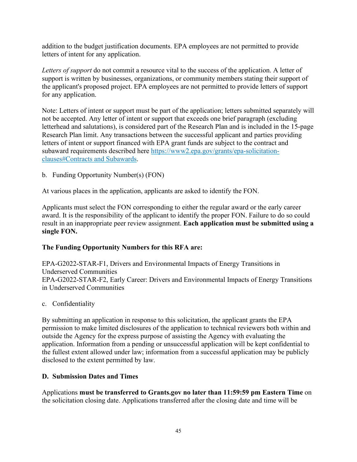addition to the budget justification documents. EPA employees are not permitted to provide letters of intent for any application.

*Letters of support* do not commit a resource vital to the success of the application. A letter of support is written by businesses, organizations, or community members stating their support of the applicant's proposed project. EPA employees are not permitted to provide letters of support for any application.

Note: Letters of intent or support must be part of the application; letters submitted separately will not be accepted. Any letter of intent or support that exceeds one brief paragraph (excluding letterhead and salutations), is considered part of the Research Plan and is included in the 15-page Research Plan limit. Any transactions between the successful applicant and parties providing letters of intent or support financed with EPA grant funds are subject to the contract and subaward requirements described here https://www2.epa.gov/grants/epa-solicitationclauses#Contracts and Subawards.

b. Funding Opportunity Number(s) (FON)

At various places in the application, applicants are asked to identify the FON.

Applicants must select the FON corresponding to either the regular award or the early career award. It is the responsibility of the applicant to identify the proper FON. Failure to do so could result in an inappropriate peer review assignment. **Each application must be submitted using a single FON.**

# **The Funding Opportunity Numbers for this RFA are:**

EPA-G2022-STAR-F1, Drivers and Environmental Impacts of Energy Transitions in Underserved Communities EPA-G2022-STAR-F2, Early Career: Drivers and Environmental Impacts of Energy Transitions in Underserved Communities

c. Confidentiality

By submitting an application in response to this solicitation, the applicant grants the EPA permission to make limited disclosures of the application to technical reviewers both within and outside the Agency for the express purpose of assisting the Agency with evaluating the application. Information from a pending or unsuccessful application will be kept confidential to the fullest extent allowed under law; information from a successful application may be publicly disclosed to the extent permitted by law.

#### <span id="page-44-0"></span>**D. Submission Dates and Times**

Applications **must be transferred to Grants.gov no later than 11:59:59 pm Eastern Time** on the solicitation closing date. Applications transferred after the closing date and time will be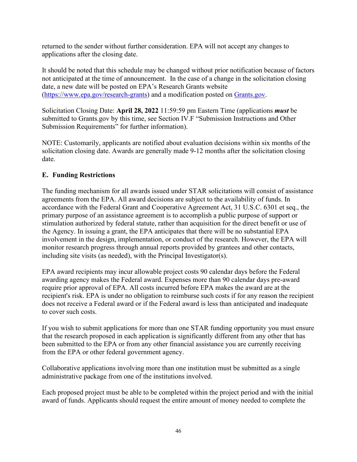returned to the sender without further consideration. EPA will not accept any changes to applications after the closing date.

It should be noted that this schedule may be changed without prior notification because of factors not anticipated at the time of announcement. In the case of a change in the solicitation closing date, a new date will be posted on EPA's Research Grants website [\(https://www.epa.gov/research-grants\)](https://www.epa.gov/research-grants) and a modification posted on [Grants.gov.](https://www.grants.gov/)

Solicitation Closing Date: **April 28, 2022** 11:59:59 pm Eastern Time (applications *must* be submitted to Grants.gov by this time, see Section IV.F "Submission Instructions and Other Submission Requirements" for further information).

NOTE: Customarily, applicants are notified about evaluation decisions within six months of the solicitation closing date. Awards are generally made 9-12 months after the solicitation closing date.

## <span id="page-45-0"></span>**E. Funding Restrictions**

The funding mechanism for all awards issued under STAR solicitations will consist of assistance agreements from the EPA. All award decisions are subject to the availability of funds. In accordance with the Federal Grant and Cooperative Agreement Act, 31 U.S.C. 6301 et seq., the primary purpose of an assistance agreement is to accomplish a public purpose of support or stimulation authorized by federal statute, rather than acquisition for the direct benefit or use of the Agency. In issuing a grant, the EPA anticipates that there will be no substantial EPA involvement in the design, implementation, or conduct of the research. However, the EPA will monitor research progress through annual reports provided by grantees and other contacts, including site visits (as needed), with the Principal Investigator(s).

EPA award recipients may incur allowable project costs 90 calendar days before the Federal awarding agency makes the Federal award. Expenses more than 90 calendar days pre-award require prior approval of EPA. All costs incurred before EPA makes the award are at the recipient's risk. EPA is under no obligation to reimburse such costs if for any reason the recipient does not receive a Federal award or if the Federal award is less than anticipated and inadequate to cover such costs.

If you wish to submit applications for more than one STAR funding opportunity you must ensure that the research proposed in each application is significantly different from any other that has been submitted to the EPA or from any other financial assistance you are currently receiving from the EPA or other federal government agency.

Collaborative applications involving more than one institution must be submitted as a single administrative package from one of the institutions involved.

Each proposed project must be able to be completed within the project period and with the initial award of funds. Applicants should request the entire amount of money needed to complete the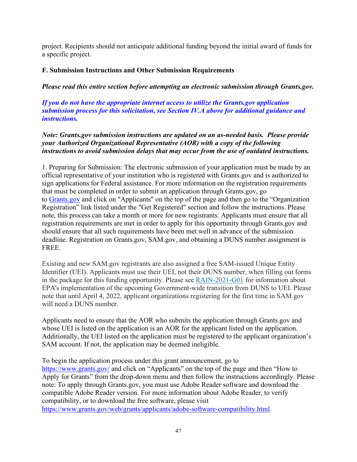project. Recipients should not anticipate additional funding beyond the initial award of funds for a specific project.

#### <span id="page-46-0"></span>**F. Submission Instructions and Other Submission Requirements**

*Please read this entire section before attempting an electronic submission through Grants.gov.* 

*If you do not have the appropriate internet access to utilize the Grants.gov application submission process for this solicitation, see Section IV.A above for additional guidance and instructions.*

*Note: Grants.gov submission instructions are updated on an as-needed basis. Please provide your Authorized Organizational Representative (AOR) with a copy of the following instructions to avoid submission delays that may occur from the use of outdated instructions.*

1. Preparing for Submission: The electronic submission of your application must be made by an official representative of your institution who is registered with Grants.gov and is authorized to sign applications for Federal assistance. For more information on the registration requirements that must be completed in order to submit an application through Grants.gov, go to [Grants.gov](https://www.grants.gov/) and click on "Applicants" on the top of the page and then go to the "Organization Registration" link listed under the "Get Registered" section and follow the instructions. Please note, this process can take a month or more for new registrants. Applicants must ensure that all registration requirements are met in order to apply for this opportunity through Grants.gov and should ensure that all such requirements have been met well in advance of the submission deadline. Registration on Grants.gov, SAM.gov, and obtaining a DUNS number assignment is FREE.

Existing and new SAM.gov registrants are also assigned a free SAM-issued Unique Entity Identifier (UEI). Applicants must use their UEI, not their DUNS number, when filling out forms in the package for this funding opportunity. Please see [RAIN-2021-G01](https://www.epa.gov/grants/rain-2021-g01) for information about EPA's implementation of the upcoming Government-wide transition from DUNS to UEI. Please note that until April 4, 2022, applicant organizations registering for the first time in SAM.gov will need a DUNS number.

Applicants need to ensure that the AOR who submits the application through Grants.gov and whose UEI is listed on the application is an AOR for the applicant listed on the application. Additionally, the UEI listed on the application must be registered to the applicant organization's SAM account. If not, the application may be deemed ineligible.

To begin the application process under this grant announcement, go to <https://www.grants.gov/> and click on "Applicants" on the top of the page and then "How to Apply for Grants" from the drop-down menu and then follow the instructions accordingly. Please note: To apply through Grants.gov, you must use Adobe Reader software and download the compatible Adobe Reader version. For more information about Adobe Reader, to verify compatibility, or to download the free software, please visit [https://www.grants.gov/web/grants/applicants/adobe-software-compatibility.html.](https://www.grants.gov/web/grants/applicants/adobe-software-compatibility.html)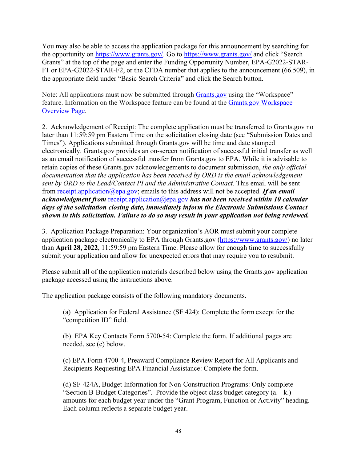You may also be able to access the application package for this announcement by searching for the opportunity on [https://www.grants.gov/.](https://www.grants.gov/) Go to<https://www.grants.gov/> and click "Search Grants" at the top of the page and enter the Funding Opportunity Number, EPA-G2022-STAR-F1 or EPA-G2022-STAR-F2, or the CFDA number that applies to the announcement (66.509), in the appropriate field under "Basic Search Criteria" and click the Search button.

Note: All applications must now be submitted through [Grants.gov](https://www.grants.gov/) using the "Workspace" feature. Information on the Workspace feature can be found at the [Grants.gov Workspace](https://www.grants.gov/web/grants/applicants/workspace-overview.html)  [Overview Page.](https://www.grants.gov/web/grants/applicants/workspace-overview.html)

2. Acknowledgement of Receipt: The complete application must be transferred to Grants.gov no later than 11:59:59 pm Eastern Time on the solicitation closing date (see "Submission Dates and Times"). Applications submitted through Grants.gov will be time and date stamped electronically. Grants.gov provides an on-screen notification of successful initial transfer as well as an email notification of successful transfer from Grants.gov to EPA. While it is advisable to retain copies of these Grants.gov acknowledgements to document submission, *the only official documentation that the application has been received by ORD is the email acknowledgement sent by ORD to the Lead/Contact PI and the Administrative Contact.* This email will be sent from receipt.application@epa.gov; emails to this address will not be accepted. *If an email acknowledgment from* receipt.application@epa.gov *has not been received within 10 calendar days of the solicitation closing date, immediately inform the Electronic Submissions Contact shown in this solicitation. Failure to do so may result in your application not being reviewed.*

3. Application Package Preparation: Your organization's AOR must submit your complete application package electronically to EPA through Grants.gov [\(https://www.grants.gov/\)](https://www.grants.gov/) no later than **April 28, 2022**, 11:59:59 pm Eastern Time. Please allow for enough time to successfully submit your application and allow for unexpected errors that may require you to resubmit.

Please submit all of the application materials described below using the Grants.gov application package accessed using the instructions above.

The application package consists of the following mandatory documents.

(a) Application for Federal Assistance (SF 424): Complete the form except for the "competition ID" field.

(b) EPA Key Contacts Form 5700-54: Complete the form. If additional pages are needed, see (e) below.

(c) EPA Form 4700-4, Preaward Compliance Review Report for All Applicants and Recipients Requesting EPA Financial Assistance: Complete the form.

(d) SF-424A, Budget Information for Non-Construction Programs: Only complete "Section B-Budget Categories". Provide the object class budget category (a. - k.) amounts for each budget year under the "Grant Program, Function or Activity" heading. Each column reflects a separate budget year.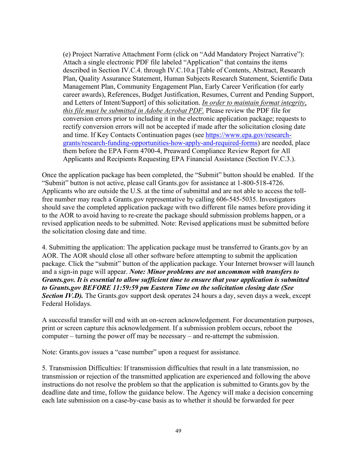(e) Project Narrative Attachment Form (click on "Add Mandatory Project Narrative"): Attach a single electronic PDF file labeled "Application" that contains the items described in Section IV.C.4. through IV.C.10.a [Table of Contents, Abstract, Research Plan, Quality Assurance Statement, Human Subjects Research Statement, Scientific Data Management Plan, Community Engagement Plan, Early Career Verification (for early career awards), References, Budget Justification, Resumes, Current and Pending Support, and Letters of Intent/Support] of this solicitation. *In order to maintain format integrity*, *this file must be submitted in Adobe Acrobat PDF.* Please review the PDF file for conversion errors prior to including it in the electronic application package; requests to rectify conversion errors will not be accepted if made after the solicitation closing date and time. If Key Contacts Continuation pages (see [https://www.epa.gov/research](https://www.epa.gov/research-grants/research-funding-opportunities-how-apply-and-required-forms)[grants/research-funding-opportunities-how-apply-and-required-forms\)](https://www.epa.gov/research-grants/research-funding-opportunities-how-apply-and-required-forms) are needed, place them before the EPA Form 4700-4, Preaward Compliance Review Report for All Applicants and Recipients Requesting EPA Financial Assistance (Section IV.C.3.).

Once the application package has been completed, the "Submit" button should be enabled. If the "Submit" button is not active, please call Grants.gov for assistance at 1-800-518-4726. Applicants who are outside the U.S. at the time of submittal and are not able to access the tollfree number may reach a Grants.gov representative by calling 606-545-5035. Investigators should save the completed application package with two different file names before providing it to the AOR to avoid having to re-create the package should submission problems happen, or a revised application needs to be submitted. Note: Revised applications must be submitted before the solicitation closing date and time.

4. Submitting the application: The application package must be transferred to Grants.gov by an AOR. The AOR should close all other software before attempting to submit the application package. Click the "submit" button of the application package. Your Internet browser will launch and a sign-in page will appear. *Note: Minor problems are not uncommon with transfers to Grants.gov. It is essential to allow sufficient time to ensure that your application is submitted to Grants.gov BEFORE 11:59:59 pm Eastern Time on the solicitation closing date (See*  **Section IV.D).** The Grants.gov support desk operates 24 hours a day, seven days a week, except Federal Holidays.

A successful transfer will end with an on-screen acknowledgement. For documentation purposes, print or screen capture this acknowledgement. If a submission problem occurs, reboot the computer – turning the power off may be necessary – and re-attempt the submission.

Note: Grants.gov issues a "case number" upon a request for assistance.

5. Transmission Difficulties: If transmission difficulties that result in a late transmission, no transmission or rejection of the transmitted application are experienced and following the above instructions do not resolve the problem so that the application is submitted to Grants.gov by the deadline date and time, follow the guidance below. The Agency will make a decision concerning each late submission on a case-by-case basis as to whether it should be forwarded for peer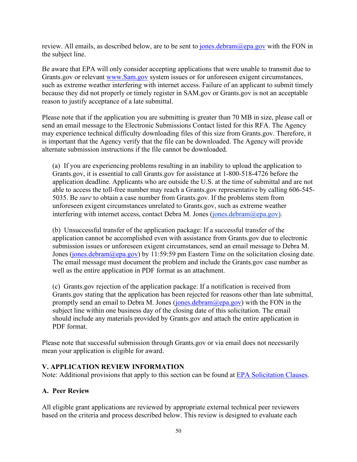review. All emails, as described below, are to be sent to  $\frac{\text{jones}.debram@epa.gov}{\text{pora}.gov}$  with the FON in the subject line.

Be aware that EPA will only consider accepting applications that were unable to transmit due to Grants.gov or relevant [www.Sam.gov](https://www.sam.gov/portal/SAM/#1) system issues or for unforeseen exigent circumstances, such as extreme weather interfering with internet access. Failure of an applicant to submit timely because they did not properly or timely register in SAM.gov or Grants.gov is not an acceptable reason to justify acceptance of a late submittal.

Please note that if the application you are submitting is greater than 70 MB in size, please call or send an email message to the Electronic Submissions Contact listed for this RFA. The Agency may experience technical difficulty downloading files of this size from Grants.gov. Therefore, it is important that the Agency verify that the file can be downloaded. The Agency will provide alternate submission instructions if the file cannot be downloaded.

(a) If you are experiencing problems resulting in an inability to upload the application to Grants.gov, it is essential to call Grants.gov for assistance at 1-800-518-4726 before the application deadline. Applicants who are outside the U.S. at the time of submittal and are not able to access the toll-free number may reach a Grants.gov representative by calling 606-545- 5035. Be *sure* to obtain a case number from Grants.gov. If the problems stem from unforeseen exigent circumstances unrelated to Grants.gov, such as extreme weather interfering with internet access, contact Debra M. Jones (jones.debram $(\partial \rho_{\text{epa.gov}})$ ).

(b) Unsuccessful transfer of the application package: If a successful transfer of the application cannot be accomplished even with assistance from Grants.gov due to electronic submission issues or unforeseen exigent circumstances, send an email message to Debra M. Jones [\(jones.debram@epa.gov\)](mailto:jones.debram@epa.gov) by 11:59:59 pm Eastern Time on the solicitation closing date. The email message must document the problem and include the Grants.gov case number as well as the entire application in PDF format as an attachment.

 (c) Grants.gov rejection of the application package: If a notification is received from Grants.gov stating that the application has been rejected for reasons other than late submittal, promptly send an email to Debra M. Jones (jones.debram $(\partial \rho p a.g. o v)$  with the FON in the subject line within one business day of the closing date of this solicitation. The email should include any materials provided by Grants.gov and attach the entire application in PDF format.

Please note that successful submission through Grants.gov or via email does not necessarily mean your application is eligible for award.

#### <span id="page-49-0"></span>**V. APPLICATION REVIEW INFORMATION**

Note: Additional provisions that apply to this section can be found at [EPA Solicitation Clauses.](https://www.epa.gov/grants/epa-solicitation-clauses)

#### <span id="page-49-1"></span>**A. Peer Review**

All eligible grant applications are reviewed by appropriate external technical peer reviewers based on the criteria and process described below. This review is designed to evaluate each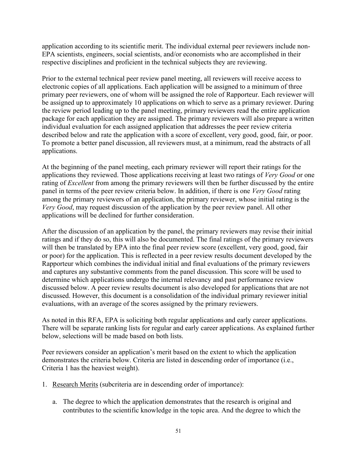application according to its scientific merit. The individual external peer reviewers include non-EPA scientists, engineers, social scientists, and/or economists who are accomplished in their respective disciplines and proficient in the technical subjects they are reviewing.

Prior to the external technical peer review panel meeting, all reviewers will receive access to electronic copies of all applications. Each application will be assigned to a minimum of three primary peer reviewers, one of whom will be assigned the role of Rapporteur. Each reviewer will be assigned up to approximately 10 applications on which to serve as a primary reviewer. During the review period leading up to the panel meeting, primary reviewers read the entire application package for each application they are assigned. The primary reviewers will also prepare a written individual evaluation for each assigned application that addresses the peer review criteria described below and rate the application with a score of excellent, very good, good, fair, or poor. To promote a better panel discussion, all reviewers must, at a minimum, read the abstracts of all applications.

At the beginning of the panel meeting, each primary reviewer will report their ratings for the applications they reviewed. Those applications receiving at least two ratings of *Very Good* or one rating of *Excellent* from among the primary reviewers will then be further discussed by the entire panel in terms of the peer review criteria below. In addition, if there is one *Very Good* rating among the primary reviewers of an application, the primary reviewer, whose initial rating is the *Very Good*, may request discussion of the application by the peer review panel. All other applications will be declined for further consideration.

After the discussion of an application by the panel, the primary reviewers may revise their initial ratings and if they do so, this will also be documented. The final ratings of the primary reviewers will then be translated by EPA into the final peer review score (excellent, very good, good, fair or poor) for the application. This is reflected in a peer review results document developed by the Rapporteur which combines the individual initial and final evaluations of the primary reviewers and captures any substantive comments from the panel discussion. This score will be used to determine which applications undergo the internal relevancy and past performance review discussed below. A peer review results document is also developed for applications that are not discussed. However, this document is a consolidation of the individual primary reviewer initial evaluations, with an average of the scores assigned by the primary reviewers.

As noted in this RFA, EPA is soliciting both regular applications and early career applications. There will be separate ranking lists for regular and early career applications. As explained further below, selections will be made based on both lists.

Peer reviewers consider an application's merit based on the extent to which the application demonstrates the criteria below. Criteria are listed in descending order of importance (i.e., Criteria 1 has the heaviest weight).

- 1. Research Merits (subcriteria are in descending order of importance):
	- a. The degree to which the application demonstrates that the research is original and contributes to the scientific knowledge in the topic area. And the degree to which the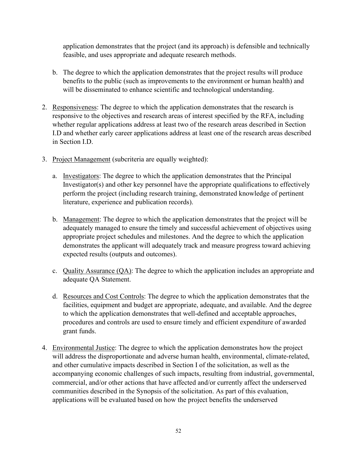application demonstrates that the project (and its approach) is defensible and technically feasible, and uses appropriate and adequate research methods.

- b. The degree to which the application demonstrates that the project results will produce benefits to the public (such as improvements to the environment or human health) and will be disseminated to enhance scientific and technological understanding.
- 2. Responsiveness: The degree to which the application demonstrates that the research is responsive to the objectives and research areas of interest specified by the RFA, including whether regular applications address at least two of the research areas described in Section I.D and whether early career applications address at least one of the research areas described in Section I.D.
- 3. Project Management (subcriteria are equally weighted):
	- a. Investigators: The degree to which the application demonstrates that the Principal Investigator(s) and other key personnel have the appropriate qualifications to effectively perform the project (including research training, demonstrated knowledge of pertinent literature, experience and publication records).
	- b. Management: The degree to which the application demonstrates that the project will be adequately managed to ensure the timely and successful achievement of objectives using appropriate project schedules and milestones. And the degree to which the application demonstrates the applicant will adequately track and measure progress toward achieving expected results (outputs and outcomes).
	- c. Quality Assurance (QA): The degree to which the application includes an appropriate and adequate QA Statement.
	- d. Resources and Cost Controls: The degree to which the application demonstrates that the facilities, equipment and budget are appropriate, adequate, and available. And the degree to which the application demonstrates that well-defined and acceptable approaches, procedures and controls are used to ensure timely and efficient expenditure of awarded grant funds.
- 4. Environmental Justice: The degree to which the application demonstrates how the project will address the disproportionate and adverse human health, environmental, climate-related, and other cumulative impacts described in Section I of the solicitation, as well as the accompanying economic challenges of such impacts, resulting from industrial, governmental, commercial, and/or other actions that have affected and/or currently affect the underserved communities described in the Synopsis of the solicitation. As part of this evaluation, applications will be evaluated based on how the project benefits the underserved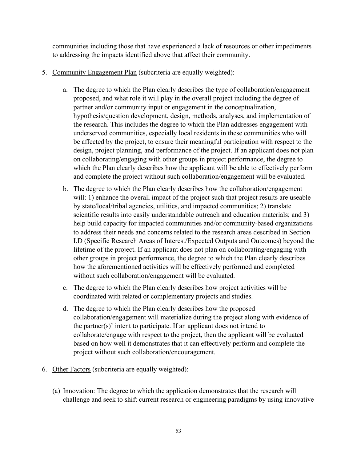communities including those that have experienced a lack of resources or other impediments to addressing the impacts identified above that affect their community.

- 5. Community Engagement Plan (subcriteria are equally weighted):
	- a. The degree to which the Plan clearly describes the type of collaboration/engagement proposed, and what role it will play in the overall project including the degree of partner and/or community input or engagement in the conceptualization, hypothesis/question development, design, methods, analyses, and implementation of the research. This includes the degree to which the Plan addresses engagement with underserved communities, especially local residents in these communities who will be affected by the project, to ensure their meaningful participation with respect to the design, project planning, and performance of the project. If an applicant does not plan on collaborating/engaging with other groups in project performance, the degree to which the Plan clearly describes how the applicant will be able to effectively perform and complete the project without such collaboration/engagement will be evaluated.
	- b. The degree to which the Plan clearly describes how the collaboration/engagement will: 1) enhance the overall impact of the project such that project results are useable by state/local/tribal agencies, utilities, and impacted communities; 2) translate scientific results into easily understandable outreach and education materials; and 3) help build capacity for impacted communities and/or community-based organizations to address their needs and concerns related to the research areas described in Section I.D (Specific Research Areas of Interest/Expected Outputs and Outcomes) beyond the lifetime of the project. If an applicant does not plan on collaborating/engaging with other groups in project performance, the degree to which the Plan clearly describes how the aforementioned activities will be effectively performed and completed without such collaboration/engagement will be evaluated.
	- c. The degree to which the Plan clearly describes how project activities will be coordinated with related or complementary projects and studies.
	- d. The degree to which the Plan clearly describes how the proposed collaboration/engagement will materialize during the project along with evidence of the partner(s)' intent to participate. If an applicant does not intend to collaborate/engage with respect to the project, then the applicant will be evaluated based on how well it demonstrates that it can effectively perform and complete the project without such collaboration/encouragement.
- 6. Other Factors (subcriteria are equally weighted):
	- (a) Innovation: The degree to which the application demonstrates that the research will challenge and seek to shift current research or engineering paradigms by using innovative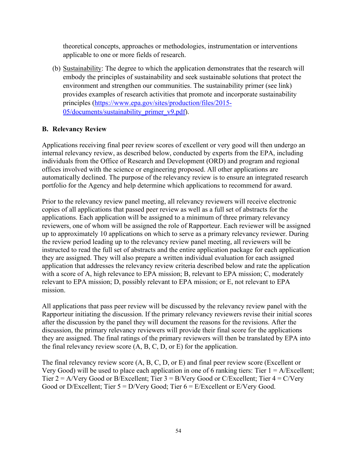theoretical concepts, approaches or methodologies, instrumentation or interventions applicable to one or more fields of research.

(b) Sustainability: The degree to which the application demonstrates that the research will embody the principles of sustainability and seek sustainable solutions that protect the environment and strengthen our communities. The sustainability primer (see link) provides examples of research activities that promote and incorporate sustainability principles [\(https://www.epa.gov/sites/production/files/2015-](https://www.epa.gov/sites/production/files/2015-05/documents/sustainability_primer_v9.pdf) [05/documents/sustainability\\_primer\\_v9.pdf\)](https://www.epa.gov/sites/production/files/2015-05/documents/sustainability_primer_v9.pdf).

#### <span id="page-53-0"></span>**B. Relevancy Review**

Applications receiving final peer review scores of excellent or very good will then undergo an internal relevancy review, as described below, conducted by experts from the EPA, including individuals from the Office of Research and Development (ORD) and program and regional offices involved with the science or engineering proposed. All other applications are automatically declined. The purpose of the relevancy review is to ensure an integrated research portfolio for the Agency and help determine which applications to recommend for award.

Prior to the relevancy review panel meeting, all relevancy reviewers will receive electronic copies of all applications that passed peer review as well as a full set of abstracts for the applications. Each application will be assigned to a minimum of three primary relevancy reviewers, one of whom will be assigned the role of Rapporteur. Each reviewer will be assigned up to approximately 10 applications on which to serve as a primary relevancy reviewer. During the review period leading up to the relevancy review panel meeting, all reviewers will be instructed to read the full set of abstracts and the entire application package for each application they are assigned. They will also prepare a written individual evaluation for each assigned application that addresses the relevancy review criteria described below and rate the application with a score of A, high relevance to EPA mission; B, relevant to EPA mission; C, moderately relevant to EPA mission; D, possibly relevant to EPA mission; or E, not relevant to EPA mission.

All applications that pass peer review will be discussed by the relevancy review panel with the Rapporteur initiating the discussion. If the primary relevancy reviewers revise their initial scores after the discussion by the panel they will document the reasons for the revisions. After the discussion, the primary relevancy reviewers will provide their final score for the applications they are assigned. The final ratings of the primary reviewers will then be translated by EPA into the final relevancy review score  $(A, B, C, D, or E)$  for the application.

The final relevancy review score (A, B, C, D, or E) and final peer review score (Excellent or Very Good) will be used to place each application in one of 6 ranking tiers: Tier  $1 = A/Excell$ . Tier  $2 = A/V$ ery Good or B/Excellent; Tier  $3 = B/V$ ery Good or C/Excellent; Tier  $4 = C/V$ ery Good or D/Excellent; Tier  $5 = D/V$ ery Good; Tier  $6 = E/E$ xcellent or E/Very Good.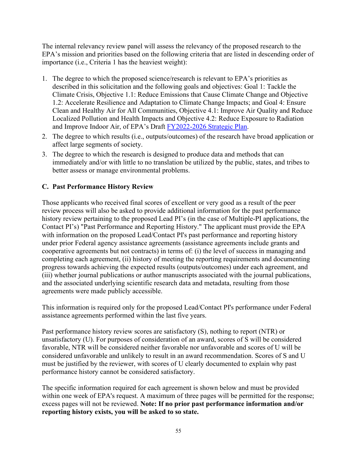The internal relevancy review panel will assess the relevancy of the proposed research to the EPA's mission and priorities based on the following criteria that are listed in descending order of importance (i.e., Criteria 1 has the heaviest weight):

- 1. The degree to which the proposed science/research is relevant to EPA's priorities as described in this solicitation and the following goals and objectives: Goal 1: Tackle the Climate Crisis, Objective 1.1: Reduce Emissions that Cause Climate Change and Objective 1.2: Accelerate Resilience and Adaptation to Climate Change Impacts; and Goal 4: Ensure Clean and Healthy Air for All Communities, Objective 4.1: Improve Air Quality and Reduce Localized Pollution and Health Impacts and Objective 4.2: Reduce Exposure to Radiation and Improve Indoor Air, of EPA's Draft [FY2022-2026 Strategic Plan.](https://www.epa.gov/planandbudget/strategicplan)
- 2. The degree to which results (i.e., outputs/outcomes) of the research have broad application or affect large segments of society.
- 3. The degree to which the research is designed to produce data and methods that can immediately and/or with little to no translation be utilized by the public, states, and tribes to better assess or manage environmental problems.

## <span id="page-54-0"></span>**C. Past Performance History Review**

Those applicants who received final scores of excellent or very good as a result of the peer review process will also be asked to provide additional information for the past performance history review pertaining to the proposed Lead PI's (in the case of Multiple-PI applications, the Contact PI's) "Past Performance and Reporting History." The applicant must provide the EPA with information on the proposed Lead/Contact PI's past performance and reporting history under prior Federal agency assistance agreements (assistance agreements include grants and cooperative agreements but not contracts) in terms of: (i) the level of success in managing and completing each agreement, (ii) history of meeting the reporting requirements and documenting progress towards achieving the expected results (outputs/outcomes) under each agreement, and (iii) whether journal publications or author manuscripts associated with the journal publications, and the associated underlying scientific research data and metadata, resulting from those agreements were made publicly accessible.

This information is required only for the proposed Lead/Contact PI's performance under Federal assistance agreements performed within the last five years.

Past performance history review scores are satisfactory (S), nothing to report (NTR) or unsatisfactory (U). For purposes of consideration of an award, scores of S will be considered favorable, NTR will be considered neither favorable nor unfavorable and scores of U will be considered unfavorable and unlikely to result in an award recommendation. Scores of S and U must be justified by the reviewer, with scores of U clearly documented to explain why past performance history cannot be considered satisfactory.

The specific information required for each agreement is shown below and must be provided within one week of EPA's request. A maximum of three pages will be permitted for the response; excess pages will not be reviewed. **Note: If no prior past performance information and/or reporting history exists, you will be asked to so state.**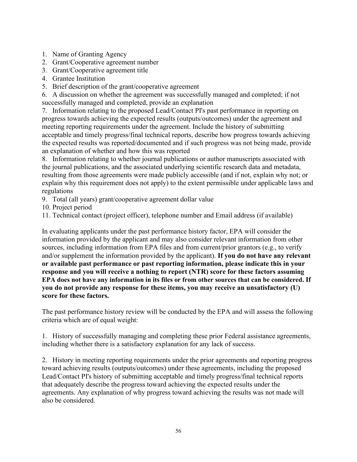- 1. Name of Granting Agency
- 2. Grant/Cooperative agreement number
- 3. Grant/Cooperative agreement title
- 4. Grantee Institution
- 5. Brief description of the grant/cooperative agreement

6. A discussion on whether the agreement was successfully managed and completed; if not successfully managed and completed, provide an explanation

7. Information relating to the proposed Lead/Contact PI's past performance in reporting on progress towards achieving the expected results (outputs/outcomes) under the agreement and meeting reporting requirements under the agreement. Include the history of submitting acceptable and timely progress/final technical reports, describe how progress towards achieving the expected results was reported/documented and if such progress was not being made, provide an explanation of whether and how this was reported

8. Information relating to whether journal publications or author manuscripts associated with the journal publications, and the associated underlying scientific research data and metadata, resulting from those agreements were made publicly accessible (and if not, explain why not; or explain why this requirement does not apply) to the extent permissible under applicable laws and regulations

- 9. Total (all years) grant/cooperative agreement dollar value
- 10. Project period

11. Technical contact (project officer), telephone number and Email address (if available)

In evaluating applicants under the past performance history factor, EPA will consider the information provided by the applicant and may also consider relevant information from other sources, including information from EPA files and from current/prior grantors (e.g., to verify and/or supplement the information provided by the applicant). **If you do not have any relevant or available past performance or past reporting information, please indicate this in your response and you will receive a nothing to report (NTR) score for these factors assuming EPA does not have any information in its files or from other sources that can be considered. If you do not provide any response for these items, you may receive an unsatisfactory (U) score for these factors.**

The past performance history review will be conducted by the EPA and will assess the following criteria which are of equal weight:

1. History of successfully managing and completing these prior Federal assistance agreements, including whether there is a satisfactory explanation for any lack of success.

2. History in meeting reporting requirements under the prior agreements and reporting progress toward achieving results (outputs/outcomes) under these agreements, including the proposed Lead/Contact PI's history of submitting acceptable and timely progress/final technical reports that adequately describe the progress toward achieving the expected results under the agreements. Any explanation of why progress toward achieving the results was not made will also be considered.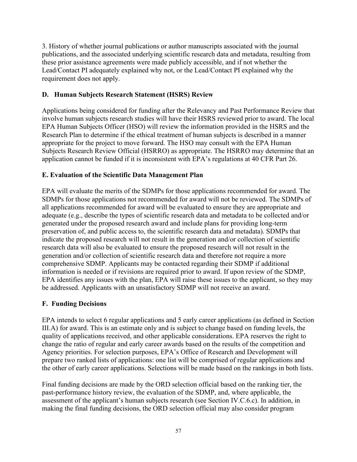3. History of whether journal publications or author manuscripts associated with the journal publications, and the associated underlying scientific research data and metadata, resulting from these prior assistance agreements were made publicly accessible, and if not whether the Lead/Contact PI adequately explained why not, or the Lead/Contact PI explained why the requirement does not apply.

#### <span id="page-56-0"></span>**D. Human Subjects Research Statement (HSRS) Review**

Applications being considered for funding after the Relevancy and Past Performance Review that involve human subjects research studies will have their HSRS reviewed prior to award. The local EPA Human Subjects Officer (HSO) will review the information provided in the HSRS and the Research Plan to determine if the ethical treatment of human subjects is described in a manner appropriate for the project to move forward. The HSO may consult with the EPA Human Subjects Research Review Official (HSRRO) as appropriate. The HSRRO may determine that an application cannot be funded if it is inconsistent with EPA's regulations at 40 CFR Part 26.

## <span id="page-56-1"></span>**E. Evaluation of the Scientific Data Management Plan**

EPA will evaluate the merits of the SDMPs for those applications recommended for award. The SDMPs for those applications not recommended for award will not be reviewed. The SDMPs of all applications recommended for award will be evaluated to ensure they are appropriate and adequate (e.g., describe the types of scientific research data and metadata to be collected and/or generated under the proposed research award and include plans for providing long-term preservation of, and public access to, the scientific research data and metadata). SDMPs that indicate the proposed research will not result in the generation and/or collection of scientific research data will also be evaluated to ensure the proposed research will not result in the generation and/or collection of scientific research data and therefore not require a more comprehensive SDMP. Applicants may be contacted regarding their SDMP if additional information is needed or if revisions are required prior to award. If upon review of the SDMP, EPA identifies any issues with the plan, EPA will raise these issues to the applicant, so they may be addressed. Applicants with an unsatisfactory SDMP will not receive an award.

#### <span id="page-56-2"></span>**F. Funding Decisions**

EPA intends to select 6 regular applications and 5 early career applications (as defined in Section III.A) for award. This is an estimate only and is subject to change based on funding levels, the quality of applications received, and other applicable considerations. EPA reserves the right to change the ratio of regular and early career awards based on the results of the competition and Agency priorities. For selection purposes, EPA's Office of Research and Development will prepare two ranked lists of applications: one list will be comprised of regular applications and the other of early career applications. Selections will be made based on the rankings in both lists.

Final funding decisions are made by the ORD selection official based on the ranking tier, the past-performance history review, the evaluation of the SDMP, and, where applicable, the assessment of the applicant's human subjects research (see Section IV.C.6.c). In addition, in making the final funding decisions, the ORD selection official may also consider program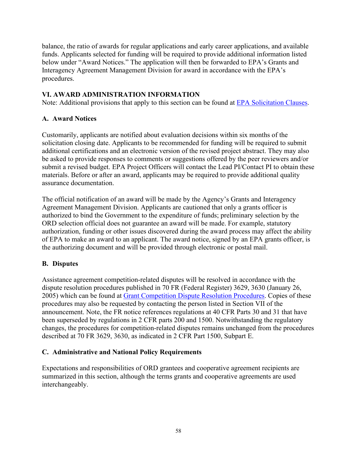balance, the ratio of awards for regular applications and early career applications, and available funds. Applicants selected for funding will be required to provide additional information listed below under "Award Notices." The application will then be forwarded to EPA's Grants and Interagency Agreement Management Division for award in accordance with the EPA's procedures.

## <span id="page-57-0"></span>**VI. AWARD ADMINISTRATION INFORMATION**

Note: Additional provisions that apply to this section can be found at [EPA Solicitation Clauses.](https://www.epa.gov/grants/epa-solicitation-clauses)

## <span id="page-57-1"></span>**A. Award Notices**

Customarily, applicants are notified about evaluation decisions within six months of the solicitation closing date. Applicants to be recommended for funding will be required to submit additional certifications and an electronic version of the revised project abstract. They may also be asked to provide responses to comments or suggestions offered by the peer reviewers and/or submit a revised budget. EPA Project Officers will contact the Lead PI/Contact PI to obtain these materials. Before or after an award, applicants may be required to provide additional quality assurance documentation.

The official notification of an award will be made by the Agency's Grants and Interagency Agreement Management Division. Applicants are cautioned that only a grants officer is authorized to bind the Government to the expenditure of funds; preliminary selection by the ORD selection official does not guarantee an award will be made. For example, statutory authorization, funding or other issues discovered during the award process may affect the ability of EPA to make an award to an applicant. The award notice, signed by an EPA grants officer, is the authorizing document and will be provided through electronic or postal mail.

#### <span id="page-57-2"></span>**B. Disputes**

Assistance agreement competition-related disputes will be resolved in accordance with the dispute resolution procedures published in 70 FR (Federal Register) 3629, 3630 (January 26, 2005) which can be found at [Grant Competition Dispute Resolution Procedures.](https://www.epa.gov/grants/grant-competition-dispute-resolution-procedures) Copies of these procedures may also be requested by contacting the person listed in Section VII of the announcement. Note, the FR notice references regulations at 40 CFR Parts 30 and 31 that have been superseded by regulations in 2 CFR parts 200 and 1500. Notwithstanding the regulatory changes, the procedures for competition-related disputes remains unchanged from the procedures described at 70 FR 3629, 3630, as indicated in 2 CFR Part 1500, Subpart E.

#### <span id="page-57-3"></span>**C. Administrative and National Policy Requirements**

Expectations and responsibilities of ORD grantees and cooperative agreement recipients are summarized in this section, although the terms grants and cooperative agreements are used interchangeably.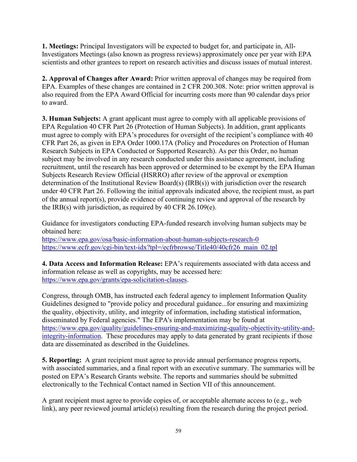**1. Meetings:** Principal Investigators will be expected to budget for, and participate in, All-Investigators Meetings (also known as progress reviews) approximately once per year with EPA scientists and other grantees to report on research activities and discuss issues of mutual interest.

**2. Approval of Changes after Award:** Prior written approval of changes may be required from EPA. Examples of these changes are contained in 2 CFR 200.308. Note: prior written approval is also required from the EPA Award Official for incurring costs more than 90 calendar days prior to award.

**3. Human Subjects:** A grant applicant must agree to comply with all applicable provisions of EPA Regulation 40 CFR Part 26 (Protection of Human Subjects). In addition, grant applicants must agree to comply with EPA's procedures for oversight of the recipient's compliance with 40 CFR Part 26, as given in EPA Order 1000.17A (Policy and Procedures on Protection of Human Research Subjects in EPA Conducted or Supported Research). As per this Order, no human subject may be involved in any research conducted under this assistance agreement, including recruitment, until the research has been approved or determined to be exempt by the EPA Human Subjects Research Review Official (HSRRO) after review of the approval or exemption determination of the Institutional Review Board(s) (IRB(s)) with jurisdiction over the research under 40 CFR Part 26. Following the initial approvals indicated above, the recipient must, as part of the annual report(s), provide evidence of continuing review and approval of the research by the IRB(s) with jurisdiction, as required by 40 CFR 26.109(e).

Guidance for investigators conducting EPA-funded research involving human subjects may be obtained here:

<https://www.epa.gov/osa/basic-information-about-human-subjects-research-0> [https://www.ecfr.gov/cgi-bin/text-idx?tpl=/ecfrbrowse/Title40/40cfr26\\_main\\_02.tpl](https://www.ecfr.gov/cgi-bin/text-idx?tpl=/ecfrbrowse/Title40/40cfr26_main_02.tpl)

**4. Data Access and Information Release:** EPA's requirements associated with data access and information release as well as copyrights, may be accessed here: [https://www.epa.gov/grants/epa-solicitation-clauses.](https://www.epa.gov/grants/epa-solicitation-clauses)

Congress, through OMB, has instructed each federal agency to implement Information Quality Guidelines designed to "provide policy and procedural guidance...for ensuring and maximizing the quality, objectivity, utility, and integrity of information, including statistical information, disseminated by Federal agencies." The EPA's implementation may be found at [https://www.epa.gov/quality/guidelines-ensuring-and-maximizing-quality-objectivity-utility-and](https://www.epa.gov/quality/guidelines-ensuring-and-maximizing-quality-objectivity-utility-and-integrity-information)[integrity-information.](https://www.epa.gov/quality/guidelines-ensuring-and-maximizing-quality-objectivity-utility-and-integrity-information) These procedures may apply to data generated by grant recipients if those data are disseminated as described in the Guidelines.

**5. Reporting:** A grant recipient must agree to provide annual performance progress reports, with associated summaries, and a final report with an executive summary. The summaries will be posted on EPA's Research Grants website. The reports and summaries should be submitted electronically to the Technical Contact named in Section VII of this announcement.

A grant recipient must agree to provide copies of, or acceptable alternate access to (e.g., web link), any peer reviewed journal article(s) resulting from the research during the project period.